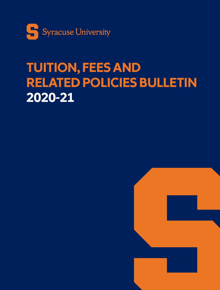

# **TUITION, FEES AND RELATED POLICIES BULLETIN 2020-21**

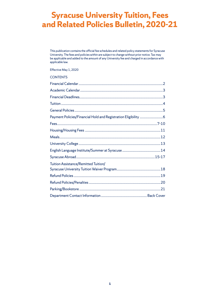## **Syracuse University Tuition, Fees and Related Policies Bulletin, 2020-21**

This publication contains the official fee schedules and related policy statements for Syracuse University. The fees and policies within are subject to change without prior notice. Tax may be applicable and added to the amount of any University fee and charged in accordance with applicable law.

Effective May 1, 2020

### **CONTENTS**

| Payment Policies/Financial Hold and Registration Eligibility 6 |  |
|----------------------------------------------------------------|--|
|                                                                |  |
|                                                                |  |
|                                                                |  |
|                                                                |  |
|                                                                |  |
|                                                                |  |
| Tuition Assistance/Remitted Tuition/                           |  |
|                                                                |  |
|                                                                |  |
|                                                                |  |
|                                                                |  |
|                                                                |  |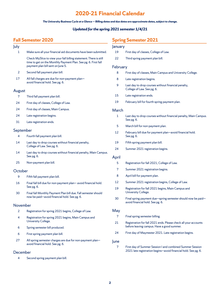## **2020-21 Financial Calendar**

### *The University Business Cycle at a Glance — Billing dates and due dates are approximate dates, subject to change.*

### *Updated for the spring 2021 semester 1/4/21*

## <span id="page-2-0"></span>**Fall Semester 2020**

| July      |                                                                                                                                                                          | Jar     |
|-----------|--------------------------------------------------------------------------------------------------------------------------------------------------------------------------|---------|
| 1         | Make sure all your financial aid documents have been submitted.                                                                                                          | 1       |
|           | Check MySlice to view your fall billing statement. There is still<br>time to get on the Monthly Payment Plan. See pg. 6. First fall<br>payment plan bill sent on June 5. | 2<br>Fe |
| 2         | Second fall payment plan bill.                                                                                                                                           |         |
| 17        | All fall charges are due for non-payment plan-<br>avoid financial hold. See pg. 6.                                                                                       |         |
| August    |                                                                                                                                                                          |         |
| 7         | Third fall payment plan bill.                                                                                                                                            | 1       |
| 24        | First day of classes, College of Law.                                                                                                                                    | 1       |
| 24        | First day of classes, Main Campus.                                                                                                                                       | м       |
| 24        | Late registration begins.                                                                                                                                                |         |
| 31        | Late registration ends.                                                                                                                                                  |         |
| September |                                                                                                                                                                          | 1       |
| 4         | Fourth fall payment plan bill.                                                                                                                                           |         |
| 14        | Last day to drop courses without financial penalty,<br>College of Law. See pg. 6.                                                                                        | 1<br>2  |
| 14        | Last day to drop courses without financial penalty, Main Campus.<br>See pg. 6.                                                                                           | Αŗ      |
| 25        | Non-payment plan bill.                                                                                                                                                   |         |
| October   |                                                                                                                                                                          |         |
| 9         | Fifth fall payment plan bill.                                                                                                                                            |         |
| 16        | Final fall bill due for non-payment plan-avoid financial hold.<br>See pg. 6.                                                                                             | 1<br>1  |
| 30        | Final fall Monthly Payment Plan bill due. Fall semester should<br>now be paid-avoid financial hold. See pg. 6.                                                           | G       |
| November  |                                                                                                                                                                          |         |
| 2         | Registration for spring 2021 begins, College of Law.                                                                                                                     | M       |
| 4         | Registration for spring 2021 begins, Main Campus and<br>University College.                                                                                              | 2       |
| 6         | Spring semester bill produced.                                                                                                                                           |         |
| 6         | First spring payment plan bill.                                                                                                                                          | 2       |
| 27        | All spring semester charges are due for non-payment plan-<br>avoid financial hold. See pg. 6.                                                                            | Jur     |
| December  |                                                                                                                                                                          |         |

4 Second spring payment plan bill.

## **Spring Semester 2021**

|          | PRITIC SENIESTEI ZUZT                                                                                                       |
|----------|-----------------------------------------------------------------------------------------------------------------------------|
| January  |                                                                                                                             |
| 19       | First day of classes, College of Law.                                                                                       |
| 22       | Third spring payment plan bill.                                                                                             |
| February |                                                                                                                             |
| 8        | First day of classes, Main Campus and University College.                                                                   |
| 8        | Late registration begins.                                                                                                   |
| 9        | Last day to drop courses without financial penalty,<br>College of Law. See pg. 6.                                           |
| 15       | Late registration ends.                                                                                                     |
| 19       | February bill for fourth spring payment plan.                                                                               |
| March    |                                                                                                                             |
| 1        | Last day to drop courses without financial penalty, Main Campus.<br>See pg. 6.                                              |
| 5        | March bill for non-payment plan.                                                                                            |
| 12       | February bill due for payment plan-avoid financial hold.<br>See pg. 6.                                                      |
| 19       | Fifth spring payment plan bill.                                                                                             |
| 24       | Summer 2021 registration begins.                                                                                            |
| April    |                                                                                                                             |
| 5        | Registration for fall 2021, College of Law.                                                                                 |
| 7        | Summer 2021 registration begins.                                                                                            |
| 8        | April bill for payment plan.                                                                                                |
| 12       | Summer 2021 registration begins, College of Law.                                                                            |
| 19       | Registration for fall 2021 begins, Main Campus and<br>University College.                                                   |
| 30       | Final spring payment due-spring semester should now be paid-<br>avoid financial hold. See pg. 6.                            |
| May      |                                                                                                                             |
| 7        | Final spring semester billing.                                                                                              |
| 21       | Registration for fall 2021 ends. Please check all your accounts<br>before leaving campus. Have a good summer.               |
| 24       | First day of Maymester 2021. Late registration begins.                                                                      |
| June     |                                                                                                                             |
| 7        | First day of Summer Session I and combined Summer Session<br>2021 late registration begins-avoid financial hold. See pg. 6. |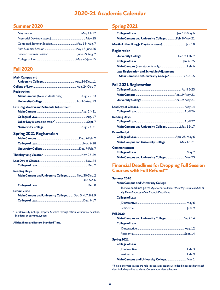## **2020-21 Academic Calendar**

## <span id="page-3-0"></span>**Summer 2020**

## **Fall 2020**

| <b>Main Campus and</b>                                  |            |
|---------------------------------------------------------|------------|
|                                                         |            |
|                                                         |            |
| <b>Registration</b>                                     |            |
| Main Campus (New students only)  Aug. 22-23             |            |
|                                                         |            |
| <b>Late Registration and Schedule Adjustment</b>        |            |
|                                                         |            |
|                                                         |            |
|                                                         |            |
|                                                         |            |
| <b>Spring 2021 Registration</b>                         |            |
|                                                         |            |
|                                                         |            |
|                                                         |            |
|                                                         |            |
|                                                         |            |
|                                                         |            |
| <b>Reading Days</b>                                     |            |
| Main Campus and University College  Nov. 30-Dec. 2      |            |
|                                                         | Dec. 5 & 6 |
|                                                         |            |
| <b>Exam Period</b>                                      |            |
| Main Campus and University College  Dec. 3, 4, 7, 8 & 9 |            |
|                                                         |            |

\* For University College, drop via MySlice through official withdrawal deadline, See dates at parttime.syr.edu.

**All deadlines are Eastern Standard Time.**

## **Spring 2021**

| Main Campus and University College  Feb. 8-May 21 |  |
|---------------------------------------------------|--|
|                                                   |  |
| <b>Registration</b>                               |  |
|                                                   |  |
|                                                   |  |
|                                                   |  |
| <b>Late Registration and Schedule Adjustment</b>  |  |
| Main Campus and University College*  Feb. 8-15    |  |
| <b>Fall 2021 Registration</b>                     |  |
|                                                   |  |
|                                                   |  |
|                                                   |  |
|                                                   |  |
|                                                   |  |
| <b>Reading Days</b>                               |  |
|                                                   |  |
| Main Campus and University College  May 15-17     |  |
| <b>Exam Period</b>                                |  |
|                                                   |  |
| Main Campus and University College May 18-21      |  |
| <b>Commencement</b>                               |  |
|                                                   |  |
| Main Campus and University College  May 23        |  |

## **Financial Deadlines for Dropping Full Session Courses with Full Refund\*\***

### **Summer 2020**

### **Main Campus and University College**

To view deadlines go to: *MySlice>Enrollment>ViewMyClassSchedule* or *MySlice>Finances>ViewFinancialDeadlines*

### **College of Law**

| <b>Fall 2020</b>                                    |  |
|-----------------------------------------------------|--|
| <b>Main Campus and University College </b> Sept. 14 |  |
| <b>College of Law</b>                               |  |
|                                                     |  |
|                                                     |  |
|                                                     |  |

### **Spring 2021 College of Law**

| Main Campus and University College Mar. 1 |  |
|-------------------------------------------|--|
|                                           |  |
|                                           |  |
|                                           |  |

\*\*Flexible format classes are held in separate sessions with deadlines specific to each class including online students. Consult your class schedule.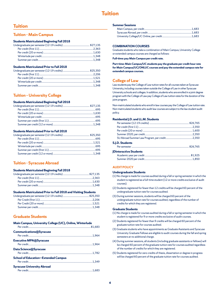## **Tuition**

## <span id="page-4-0"></span>**Tuition**

## **Tuition - Main Campus**

### **Students Matriculated Beginning Fall 2018**

### **Students Matriculated Prior to Fall 2018**

### **Tuition – University College**

### **Students Matriculated Beginning Fall 2018**

### **Students Matriculated Prior to Fall 2018**

## **Tuition - Syracuse Abroad**

### **Students Matriculated Beginning Fall 2018**

### **Students Matriculated Prior to Fall 2018 and Visiting Students**

## **Graduate Students**

| Main Campus, University College (UC), Online, Winterlude |  |
|----------------------------------------------------------|--|
| <b>Communications@Syracuse</b>                           |  |
| <b>Executive MPA@Syracuse</b>                            |  |
| Data Science@Syracuse                                    |  |
| <b>School of Education-Extended Campus</b>               |  |
| <b>Syracuse University Abroad</b>                        |  |

#### **Summer Sessions**

### **COMBINATION COURSES**

Graduate students who take a combination of Main Campus, University College or extended campus courses are charged as follows:

**Full-time: pay Main Campus per credit rate.** 

**Part-time: Main Campus/UC students pay the graduate per credit hour rate for Main Campus/UC/ONLUC courses and pay the extended campus rate for extended campus courses.**

### **College of Law**

Law students pay the College of Law tuition rates for all courses taken at Syracuse University, including courses taken outside the College of Law in other Syracuse University schools and colleges. In addition, students who are enrolled in a joint degree program with the College of Law pay College of Law tuition rates for the duration of the joint program.

Non-matriculated students who enroll in law courses pay the College of Law tuition rate. Non-matriculated students who audit law courses are subject to the law student audit policy.

### **Residential J.D. and LL.M. Students**

| S.J.D. Students       |  |
|-----------------------|--|
|                       |  |
| Dinteractive Students |  |
|                       |  |
|                       |  |

### **AUDIT POLICY**

### **Undergraduate Students**

- (1) No charge is made for courses audited during a fall or spring semester in which the student is registered as a full-time student (12 or more credits exclusive of audit courses).
- (2) Students registered for fewer than 12 credits will be charged 60 percent of the undergraduate tuition rate for courses audited.
- (3) During summer sessions, students will be charged 60 percent of the undergraduate tuition rate for courses audited, regardless of the number of credits for which they are registered.

### **Graduate Students**

- (1) No charge is made for courses audited during a fall or spring semester in which the student is registered for 9 or more credits exclusive of audit courses.
- (2) Students registered for fewer than 9 credits will be charged 60 percent of the graduate tuition rate for courses audited.
- (3) Graduate students who have appointments as Graduate Assistants and Syracuse University Graduate Fellows are eligible to audit courses during the fall and spring semesters at no additional charge.
- (4) During summer sessions, all students (including graduate assistants or fellows) will be charged 60 percent of the graduate tuition rate for courses audited regardless of the number of credits for which they are registered.
- (5) Students registered for zero credits of thesis, dissertation or degree in progress will be charged 60 percent of the graduate tuition rate for courses audited.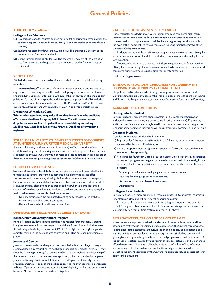### <span id="page-5-0"></span>**AUDIT POLICY, continued**

### **College of Law Students**

- (1) No charge is made for courses audited during a fall or spring semester in which the student is registered as a full-time student (12 or more credits exclusive of audit courses).
- (2) Students registered for fewer than 12 credits will be charged 60 percent of the law tuition rate for courses audited.
- (3) During summer sessions, students will be charged 60 percent of the law tuition rate for courses audited regardless of the number of credits for which they are registered.

### **WINTERLUDE**

Winterlude classes are condensed *online* classes held between the fall and spring semesters.

**Important Note:** The cost of a Winterlude course is separate and in addition to any tuition costs you may incur in the traditional spring term. For example, if as an undergraduate, you register for 12 to 19 hours in the spring, you will be charged our published flat rate of tuition plus the additional prevailing cost for the Winterlude course. Winterlude classes are not covered by the Prepaid Tuition Plan. If you have questions, call the Bursar's Office at 315.443.2444 or e-mail bursar@syr.edu.

### **Dropping a Winterlude Class**

**Winterlude classes have unique deadlines that do not follow the published official term deadlines for spring 2021 classes. You will have access to drop these classes online. Drop deadlines are available by consulting MySlice >My Class Schedule or View Financial Deadlines after you have registered.**

### **SYRACUSE UNIVERSITY STUDENTS REGISTERED FOR COURSES AT SUNY ESF OR SUNY UPSTATE MEDICAL UNIVERSITY**

Syracuse University students who enroll in course(s) offered by either of these state institutions during the fall or spring semester will be billed by Syracuse University and are subject to Syracuse University tuition rates and fees as detailed in this publication. If you have additional questions, please call the Bursar's Office at 315.443.2444.

### **FLEXIBLE FORMAT CLASSES**

Syracuse University matriculated and non-matriculated students may take flexible format classes to fulfill program requirements. Flexible format classes offer alternatives and convenience, allowing choices about where, when and how your learning occurs. The financial deadline for each class may be viewed online. Students are advised to pay close attention to these deadlines when you enroll for these courses. While they have the same academic standards and expectations as regular traditional semester courses, flexible format courses:

- Do not coincide with the designated meeting patterns associated with the
- University's published official terms; and
- Have unique academic and financial deadlines.

### **OVERLOAD RATE EXCEPTION (20 CREDITS OR MORE)**

### **Renée Crown University Honors Program**

Honors Program students in good standing who register for more than 19 credits in a given semester will not be charged for additional (over 19) credits if they meet the following criteria: (a) a cumulative GPA of 3.5 or higher at the beginning of the semester for which the overload was approved and (b) no outstanding incomplete grades.

### **Juniors and Seniors**

Juniors and seniors who receive permission from their school or college to carry a credit overload may request not to be charged for additional credits (over 19) if they meet the following criteria: (a) a cumulative GPA of 3.5 or higher at the beginning of the semester for which the overload was approved, (b) no outstanding incomplete grades, and (c) registration as a full-time student at Syracuse University for two previous semesters. A copy of the petition approving the overload must be presented to Bursar Operations, where the determination of eligibility for this rate exception will be made. No exceptions will be made on this policy.

### **RATE EXCEPTION (LAST SEMESTER SENIOR)**

Undergraduates enrolled in a four-year program who have completed eight regular\* semesters of academic work as full-time students on main campus and who have 11 or fewer credits to complete toward their bachelor's degree may petition through the dean of their home college to take these credits during their last semester at the University College tuition rate.

Undergraduates enrolled in a five-year program must have completed 10 regular semesters of academic work as full-time students on main campus to qualify for the rate exception.

Students who are able to complete their degree requirements in fewer than 8 or 10 regular semesters, e.g., due to increased course loads per semester or course work completed during summer, are not eligible for this rate exception.

\* Fall and spring semesters

### **SATISFACTORY ACADEMIC PROGRESS FOR GOVERNMENT-SPONSORED AND UNIVERSITY FINANCIAL AID**

The policy on satisfactory academic progress for government-sponsored and University financial aid is available on the "Policies" page of the Office of Financial Aid and Scholarship Programs website, syracuse.edu/admissions/cost-and-aid/policies/.

#### **ACADEMIC FULL-TIME STATUS**

#### **Undergraduate Students**

Registration for 12 or more credit hours confers full-time academic status on an undergraduate student during any semester (fall, spring and summer). Engineering and Computer Science students registered in the cooperative education program for 0 hours in semesters when they are on work assignments are considered to be full-time.

### **Graduate Students**

- A graduate student is considered full-time when:
- (1) Registered for full-time study (9 credits in the fall, spring or summer in a program approved by the student's advisor), or
- (2) Holding an appointment as a graduate assistant or fellow and registered for the semester (fall or spring only).
- (3) Registered for fewer than 9 credits, but at least for 0 credits of thesis, dissertation or degree in progress, and engaged, at a level equivalent to full-time study, in one or more of the following activities, as appropriate and certified by the student's program:
	- Studying for preliminary, qualifying or comprehensive exams;
	- Studying for a language or tool requirement;
	- Actively working on a dissertation or thesis;
	- An internship

## **College of Law Students**

Registration for 12 or more credits (9 or more credits for LL.M. students) confers fulltime status on a law student during a fall or spring semester.

In the case of students matriculated in joint degree programs, one of which is the J.D. degree, this requirement for full-time status takes precedence over the 9-credit criterion for full-time status as stated in (1) above.

#### **ALTERNATIVE EDUCATION AND SERVICE FORMAT**

When necessary to protect the health and safety of students, faculty and staff, as determined by Syracuse University in its sole discretion, the University reserves the right to alter (a) the academic schedule, location and modality of instructional and learning activities, and academic terms and requirements (including content and grading) of undergraduate, graduate and doctoral programs and instruction; and (b) the schedule, location, availability and format of services, activities, and experiences offered to students. Students shall not be entitled to refunds or offsets of tuition, fees, or other costs of attendance where the University exercises such discretion, except to the extent permitted by the University's published refund policies set forth below in this document.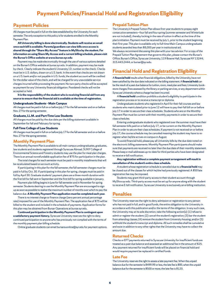## **Payment Policies/Financial Hold and Registration Eligibility**

## <span id="page-6-0"></span>**Payment Policies**

All charges must be paid in full on the date established by the University for each semester. The only exception to this policy is for students enrolled in the Monthly Payment Plan.

**All University billing is done electronically. Students will receive an email once each bill is available. Parents/guardians can view bills once access is shared through the "Share My Access" feature in MySlice by the student. For information on using Share My Access and a current billing schedule, please visit the Bursar's Office website at www.bursar.syr.edu**

Payment may be made electronically through the use of various options detailed on the Bursar's Office website at bursar.syr.edu. In addition, payment may be made by check. Clearly indicate the student's University I.D. number on the check. Checks must be in U.S. dollars, drawn on a U.S. bank. In the event that checks are not drawn on a U.S. bank and/or not payable in U.S. funds, the student account will be credited for the dollar value of the check, and will be charged for any unavoidable service charges incurred while processing the payment. No two-party checks will be accepted as payment for any University financial obligation. Postdated checks will not be accepted or held.

**It is the responsibility of the student who is receiving financial aid from any source to ensure that the financial aid is available at the time of registration.**

#### **Undergraduate Students - Main Campus**

All charges must be paid in full on or before July 17 for the fall semester and on or before Nov. 27 for the spring semester.

#### **Graduate, LL.M. and Part-Time Law Students**

All charges must be paid by the due date per the billing statement available in September for fall and February for spring.

### **Full-Time College of Law Students**

All charges must be paid in full on or before July 17 for the fall semester and on or before Nov. 27 for the spring semester.

### **Monthly Payment Plan**

The Monthly Payment Plan is available to all main campus undergraduates, graduates, law students and students registered through Syracuse Abroad. SUNY College of Environmental Science and Forestry students may use the plan for meal plan charges. There is an annual nonrefundable application fee of \$75 for participation in the plan.

The total charges for each semester must be paid in monthly installments that will be recalculated based on account activity.

If participating in this plan for the fall semester, the fall semester charges must be paid in full by Oct. 30. If participating in this plan for spring, charges must be paid in full by April 30. Graduate students' payment plans are a three-month duration with the first bill for fall sent in September and the first bill for spring available in January.

Payment plan billing begins in June for fall semester and in November for spring semester. Students desiring to use the Monthly Payment Plan are encouraged to sign up as soon as possible to realize the maximum number of months over which to pay the balance due. **A Monthly Payment Plan application must be completed each year.**

There is no interest charge or finance charge (zero percent annual percentage rate) imposed for use of the Monthly Payment Plan. The application fee of \$75 will be billed to the student and included in the schedule of payments. Application forms for this plan may be obtained from Bursar Operations at bursar.syr.edu.

**Continued participation in the Monthly Payment Plan is contingent upon a satisfactory payment history.** Syracuse University reserves the right to deny continued participation to anyone who has previously not complied with the terms of the monthly payment plan billing schedule.

Online graduate students can email bursarsuonline@syr.edu for payment options.

### **Prepaid Tuition Plan**

The University's Prepaid Tuition Plan allows first-year students to prepay eight consecutive semesters—four fall and four spring (summer semester and Winterlude are not included), thereby locking in the rate of tuition in effect at the time of the plan's initiation. Payment must be received by July 1, prior to the student beginning their first year. This plan is available only to full-time Main Campus undergraduate students awarded less than \$8,000 per year in institutional aid.

We always recommend discussing this plan with your tax advisor. For a copy of the Prepaid Tuition Plan Agreement that governs this plan, please contact the Bursar's Office: Bursar's Office, Syracuse University, 119 Bowne Hall, Syracuse NY 13244; 315.443.2444; or bursar@syr.edu.

## **Financial Hold and Registration Eligibility**

A **financial hold** results when financial obligations, billed by the University, have not been satisfied by the due date indicated on the billing statement. A **financial hold** can be the result of a past due balance for tuition, room, meal plan and fees; University bookstore charges; fines assessed by the library or parking services, or any department within Syracuse University where a charge has been incurred.

A **financial hold** condition prohibits a student's eligibility to participate in the registration process or to receive a transcript or diploma.

Undergraduate students who registered in April for their fall courses and law students who matriculated prior to June 12 will have to pay their fall bill on or before July 17 in order to secure their class schedules. Students who are on the Monthly Payment Plan must be current with their monthly payments in order to secure their class schedules.

Entering undergraduate students who registered over the summer must have their fall semester bills paid on or before July 17, or be current on the Monthly Payment Plan in order to secure their class schedules. If payment is not received on or before July 17, the course schedule may be canceled meaning the student may have to reregister when he/she arrives on campus in August.

To avoid financial hold, please pay all University bills by the due date noted on the electronic billing statements. Monthly Payment Plan participants should make sure that payments are received no later than the due date of their monthly statement. Please keep e-mail addresses up-to-date for third parties who have been designated to receive e-bill notification.

**Any registration without a complete payment arrangement will result in cancellation of the student's entire class schedule.**

A student whose registration schedule is canceled due to a **financial hold** may be closed out of the classes for which he/she had previously registered. A \$50 late registration fee may be imposed.

Students may grant third-party access to their student account through MySlice.syr.edu*.* Third-party access must be set up for anyone along with the student to receive E-bill notification. Syracuse University is exclusively an e-billing institution.

## **Penalties**

The University reserves the right to deny admission or registration to any person who has not paid in full, and in good funds, the entire obligation to the University in accordance with this publication and/or the terms of the obligation. In any such case, the University may at its sole discretion, take the following action(s): (1) refuse to admit or register the student; (2) cancel the student's registration; (3) bar the student from attending classes; (4) remove the student from University housing; and/or (5) withhold the student's transcript and diploma. All such remedies shall be cumulative and exist in addition to any other rights that the University may have to collect the amount due.

### **Returned Checks**

Checks or EFT payments returned to Syracuse University for insufficient funds are treated as a past due balance and assessed an additional fee in the amount of \$25. Any payment returned for insufficient funds will be placed on financial hold and would require payment be replaced in certified funds.

### **Late Fee**

The University reserves the right to assess a late payment fee. When the unpaid balance due for the semester is \$499.99 or less, the late fee is \$85; when the unpaid balance due for the semester is \$500 or more, the late fee is \$120.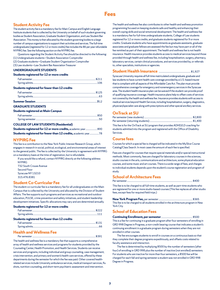## **Fees**

## <span id="page-7-0"></span>**Student Activity Fee**

The student activity fee is a mandatory fee for Main Campus and English Language Institute students that is collected by the University on behalf of such student governing bodies as Student Association, Graduate Student Organization, and Law Student Bar Association. This money is then allocated by the student governing bodies to a large number of campus organizations to support their activities and services. The full-time undergraduate (registered for 12 or more credits) fee includes the \$6 per year refundable NYPIRG fee. See the following section on the NYPIRG fee.

- Questions regarding the Student Activity Fee should be directed to the following: (1) Undergraduate students—Student Association Comptroller
- (2) Graduate students—Graduate Student Organization Comptroller
- (3) Law students—Law Student Bar Association Treasurer

### **UNDERGRADUATE STUDENTS**

| Students registered for 12 or more credits    |  |
|-----------------------------------------------|--|
|                                               |  |
| Students registered for fewer than 12 credits |  |
|                                               |  |
|                                               |  |
|                                               |  |
| <b>GRADUATE STUDENTS</b>                      |  |
| <b>Students registered at Main Campus</b>     |  |

### **COLLEGE OF LAW STUDENTS (Residential)**

| \$90 <b>Students registered for 12 or more credits,</b> academic year\$90 |  |
|---------------------------------------------------------------------------|--|
| Students registered for fewer than 12 credits, academic year78            |  |

### **NYPIRG Fee**

This fee is a contribution to the New York Public Interest Research Group, which engages in research in social, political, ecological, and environmental areas of interest to the general public. The fee is collected by the University in agreement with NYPIRG on a mandatory basis at the time of registration, but is refundable.

| If you would like a refund, contact NYPIRG directly at the following address: |
|-------------------------------------------------------------------------------|
| <b>NYPIRG</b>                                                                 |
| 732 South Crouse Avenue                                                       |
| Second Floor                                                                  |
| Syracuse NY 13210                                                             |
| 315.476.8381                                                                  |
|                                                                               |

### **Student Co-Curricular Fee**

The student co-curricular fee is a mandatory fee for all undergraduates on the Main Campus that is collected by the University and allocated by the Division of Student Affairs. The fee supports such programs and services as recreational and outdoor education, PULSE, crime prevention and safety initiatives, and student leadership development initiatives. Specific allocations may vary and are determined annually.

| Students registered for 12 or more credits    |       |
|-----------------------------------------------|-------|
|                                               | \$222 |
|                                               |       |
| Students registered for fewer than 12 credits |       |
|                                               |       |
|                                               |       |
| <b>Health and Wellness Fee</b>                |       |

The health and wellness fee is a mandatory fee that supports a comprehensive array of health and wellness services and programs for students provided by the Counseling Center, Health Promotion, and Health Services. Students can receive services and programs, including individual and group counseling, case management, crisis intervention, and primary and women's health care services, offered by these departments during the semester for which the fee was paid. Other covered healthrelated services include University ambulance services, medical transport services, flu shots, nutrition counseling, and short-term psychiatric assessment and intervention.

Per semester .............................................................................................................\$391

The health and wellness fee also contributes to other health and wellness promotion programming focused on keeping students safe and healthy and enhancing their overall coping skills and social-emotional development. The health and wellness fee is a mandatory fee for full-time undergraduate students, College of Law students registered for 12 or more credits, and graduate students registered for 9 or more credits. Graduate students who have appointments as graduate assistants, graduate associates and graduate fellows are assessed the fee but may have part or all of the fee remitted as part of their appointment. The health and wellness fee is not health insurance. Health insurance provides students access to medical services beyond those provided through health and wellness fee, including hospitalization, surgery, pharmacy, laboratory services, certain clinical procedures, and services provided by, or referrals to, other specialists, institutions or agencies.

### **Student Health Insurance** .......................................................\$1,927

Syracuse University requires all full-time matriculated undergraduate, graduate and law students to have current health care coverage provided by a U.S.-based insurer that is compliant with all aspects of the Affordable Care Act. The plan must provide comprehensive coverage for emergency and nonemergency services in the Syracuse area. The student health insurance plan can be waived if the student can provide proof of qualifying insurance coverage. Health insurance plans help to offset costs of services not covered by the health and wellness fee. Insurance provides students with access to medical services beyond Health Services, including hospitalization, surgery, diagnostics, physician/specialist care along with prescriptions and other special ancillary services.

## **OnTrack at SU**

| This fee is for the OnTrack at SU program that provides ADHD/LD coaching for |  |
|------------------------------------------------------------------------------|--|

students admitted into the program and registered with the Office of Disability Services.

### **Course fees**

Courses for which a special fee is charged will be indicated in the MySlice Course Catalog/Class Search. In most cases the amount of each fee is specified.

Fees are charged for courses that require special materials and/or special instructional methods. Most commonly, fees are charged for laboratory courses in the sciences, studio courses in the arts, communications and architecture, some physical education courses, and some music and art courses. There is a wide range of fees, and charges to individual students depends upon the student's course registration and program of study.

## **School of Architecture Fees**

Per semester................................................................................................................. \$400

This fee is to be charged to all full-time students, as well as part-time students who are registered for one or more studio-based courses (This fee replaces all other studio fees, except fees for required field trips.)

| This fee is to be charged to all students enrolled in the architecture program in New |  |
|---------------------------------------------------------------------------------------|--|
| York City.                                                                            |  |

## **School of Education Fees**

**Continuing Enrollment, per semester**...................................................... \$500 This is a fee for continuing in a graduate program after four semesters of enrolling in GRD 998 Degree in Progress, a non-credit bearing course that indicates a student's continuing enrollment in a graduate program during semesters when they are not enrolled in other courses.

The fee encourages students to enroll in courses on a continuous basis so that they complete their degree programs expeditiously, and offsets costs related to faculty assistance and interaction.

The fee is determined by multiplying \$500 by the number of semesters (after four) of enrolling in GRD 998 plus the number of inactive (not enrolled) semesters. For students who are inactive for more than four semesters, a \$500 fee will be charged for each fall and spring semester a student was not enrolled in GRD 998 Degree in Progress.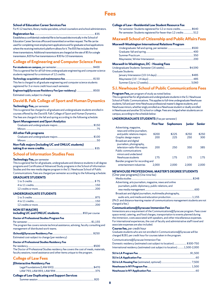### **School of Education Career Services Fee**

For K-12 teachers, library media specialists, school counselors and school administrators.

### **Registration fee**........................................................................................................\$35

Establishes a confidential credential file to be housed electronically in the School of Education Career Services office and transmitted on written request. The file can be used for completing most employment applications and for graduate school applications where the receiving institution's platform allows for it. The \$35 fee includes the first three transmissions. Additional transmissions are charged at the rate of \$5 for a single transmission, \$20 for five transmissions or \$30 for 10 transmissions.

## **College of Engineering and Computer Science Fees**

**For students on campus,** per semester............................................................... \$400 This is a general fee for all full-time undergraduate engineering and computer science students registered for a minimum of 12 credits.

**Technology acquisition and maintenance fee**................................................ \$150 This fee is charged to all graduate engineering and computer science students registered for 3 or more credit hours each semester.

**Engineering@Syracuse Residency Fee (per residency)** ........................... \$500 Estimated costs, subject to change

## **David B. Falk College of Sport and Human Dynamics**

### **Technology Fee,** per semester

This is a general fee charged to all graduate and undergraduate students enrolled in courses offered by the David B. Falk College of Sport and Human Dynamics. The fees are charged in the fall and spring according to the following schedule:

### **Sport Management and Sport Analytics**

| Non-Falk majors (including UC and ONLUC students) |  |
|---------------------------------------------------|--|
|                                                   |  |
|                                                   |  |
| <b>All other Falk programs</b>                    |  |
|                                                   |  |
|                                                   |  |
|                                                   |  |

### **School of Information Studies Fees**

### **Technology Fee,** per semester

This is a general fee for all graduate, undergraduate and distance students in all degree programs and Certificates of Advanced Study programs in the School of Information Studies and the new media degree program in the S.I. Newhouse School of Public Communications. Fees are charged per semester according to the following schedule:

### **GRADUATE STUDENTS**

| <b>UNDERGRADUATE STUDENTS</b>                                                                                                                                       |
|---------------------------------------------------------------------------------------------------------------------------------------------------------------------|
|                                                                                                                                                                     |
|                                                                                                                                                                     |
|                                                                                                                                                                     |
| <b>NON IST MAJORS</b>                                                                                                                                               |
| <b>Doctor of Professional Studies Program Fee</b>                                                                                                                   |
|                                                                                                                                                                     |
| The program fee covers remote technical assistance, advising, faculty consulting and<br>management of distributed work teams.                                       |
|                                                                                                                                                                     |
| Estimated cost-subject to change (per residency)                                                                                                                    |
| <b>Doctor of Professional Studies Residency Fee</b>                                                                                                                 |
|                                                                                                                                                                     |
| The Doctor of Professional Studies residency fee covers the cost of meals, materials,<br>faculty sessions, travel assistance and other items unique to the program. |
| <b>College of Law Fees</b>                                                                                                                                          |
| <b>JDinteractive Residency Fee</b>                                                                                                                                  |
|                                                                                                                                                                     |

## **College of Law Duplicating and Support Services**

LAW 793, LAW 893, LAW 994 ....................................................................375

### **College of Law—Residential Law Student Resource Fee**

| Per semester: Students registered for 12 or more credits \$640  |  |
|-----------------------------------------------------------------|--|
| Per semester: Students registered for fewer than 12 credits 512 |  |

### **Maxwell School of Citizenship and Public Affairs Fees**

### **Maxwell-Washington International Relations Program**

| <b>Maxwell-in-Washington, DC - Housing Fees</b> |  |
|-------------------------------------------------|--|
|                                                 |  |
| <b>Graduate Students:</b>                       |  |

## **S.I. Newhouse School of Public Communications Fees**

#### **Program Fee,** per program of study as noted below.

This is a general fee for all graduate and undergraduate students in the S.I. Newhouse School of Public Communications. This applies to full-time undergraduate Newhouse students, full and part-time Newhouse professional master's degree students, and Newhouse minors, whether singly enrolled as a Newhouse student or dually enrolled in Newhouse and another SU school or college. Fees are charged when students are on campus, according to the schedule below:

### **UNDERGRADUATE STUDENTS** (Fee per semester)

|                                                                                          | <b>First Year</b> | <b>Sophomore</b> | <b>Junior</b> | Senior |
|------------------------------------------------------------------------------------------|-------------------|------------------|---------------|--------|
| Advertising, magazine,<br>news and online journalism,                                    |                   |                  |               |        |
| and public relations majors                                                              | \$200             | \$225            | \$250         | \$250  |
| Graphic design majors                                                                    | 200               | 225              | 250           | 300    |
| <b>Broadcast and digital</b><br>journalism, photography,<br>television-radio-film majors | 200               | 250              | 350           | 385    |
| Public communications<br>minors and undeclared                                           |                   |                  |               |        |
| Newhouse students                                                                        | 175               | 175              | 175           | 175    |
| Bandier program for recording and                                                        |                   |                  |               |        |
| entertainment industries                                                                 | 2.000             | 2.000            | 2.000         | 2.000  |

### **NEWHOUSE PROFESSIONAL MASTER'S DEGREE STUDENTS**

| (One-year programs) (One-time fee)                                                                                                                                                                                            |      |
|-------------------------------------------------------------------------------------------------------------------------------------------------------------------------------------------------------------------------------|------|
|                                                                                                                                                                                                                               |      |
| Advertising, arts journalism, magazine, news and online                                                                                                                                                                       |      |
| journalism, public diplomacy, public relations, and                                                                                                                                                                           |      |
|                                                                                                                                                                                                                               | -600 |
| Broadcast and digital journalism, multimedia photography,                                                                                                                                                                     |      |
|                                                                                                                                                                                                                               |      |
| . The contract of the contract of the contract of the contract of the contract of the contract of the contract of the contract of the contract of the contract of the contract of the contract of the contract of the contrac |      |

(Ph.D. and distance-learning master of communications management students are not charged a fee.)

### **Communications@Syracuse Immersion Fee**

Immersions are a requirement of the Communications@Syracuse program. Fees cover space rental, catering, and food charges, transportation to events planned during the immersion, costs associated with speakers, and other miscellaneous expenses. For international experiences, the cost of faculty and administrative staff travel and associate expenses are also included.

#### **Course fee,** per credit hour

Graduate students who are not enrolled in Communications@Syracuse will be charged \$281 per credit hour for courses taken in the program.

Communications@Syracuse Immersion Fee:

| Domestic residency (estimated cost subject to location)  \$300-750<br>International residency (estimated cost subject to location) 1,500-2,000 |  |
|------------------------------------------------------------------------------------------------------------------------------------------------|--|
|                                                                                                                                                |  |
|                                                                                                                                                |  |
|                                                                                                                                                |  |
|                                                                                                                                                |  |
|                                                                                                                                                |  |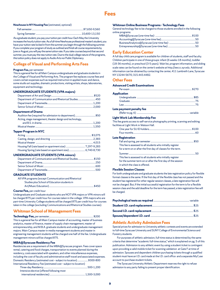## **Fees**

#### **Newhouse in NY Housing Fee** (estimated, optional)

As a graduate student, you pay your tuition per credit hour. Each May the University increases the hourly tuition rate. As a full-time Newhouse professional master's student, you have your tuition rate locked in from the summer you begin through the following summer. If you complete your program of study as outlined and finish all course requirements by June or August, you will pay the same tuition rate. If you take courses beyond that second summer, you must pay the new tuition rate. Due to the dual college nature of the programs, this tuition policy does not apply to Audio Arts nor Public Diplomacy.

## **College of Visual and Performing Arts Fees**

#### **Program Fee,** per semester

This is a general fee for all Main Campus undergraduate and graduate students in the College of Visual and Performing Arts. The program fee replaces course fees and covers certain expenses such as required instruction in applied music and dance, some studio art supplies, dramatic productions, visiting artists, shops, laboratories, equipment and technology.

### **UNDERGRADUATE STUDENTS (VPA majors)**

| Department of Communication and Rhetorical Studies 450   |  |
|----------------------------------------------------------|--|
|                                                          |  |
|                                                          |  |
| <b>Department of Drama</b>                               |  |
| Audition fee (required for admission to department)\$50  |  |
| Acting, stage management, theater design and technology, |  |
|                                                          |  |
|                                                          |  |
| <b>Tepper Program in NYC</b>                             |  |
|                                                          |  |
|                                                          |  |
|                                                          |  |
|                                                          |  |
|                                                          |  |

### **UNDERGRADUATE STUDENTS (VPA minors)**

| Department of Communication and Rhetorical Studies \$150 |  |
|----------------------------------------------------------|--|
|                                                          |  |
|                                                          |  |
|                                                          |  |
|                                                          |  |

### **GRADUATE STUDENTS**

| All VPA programs (except Communication and Rhetorical |  |
|-------------------------------------------------------|--|
| Studies plus School of Education students in          |  |
|                                                       |  |
|                                                       |  |

#### **Course Fee,** per credit hour

Undergraduate and Graduate students who are NOT VPA majors or VPA minors will be charged \$75 per credit hour for courses taken in the college. VPA majors who are part-time University College students will be charged \$75 per credit hour for courses taken in the college (excluding Communications and Rhetorical Studies courses).

### **Whitman School of Management Fees**

#### **Technology Fee,** per semester............................................................................ \$200

This is a general fee for all Main Campus master of accounting, master of business analytics, master of finance, master of supply chain management, master of entrepreneurship, and M.B.A. graduate students and undergraduate management majors. Main Campus master in media management students and master in engineering management students will be charged one half of the fee. Undergraduate management minors will be charged \$75.

### **MBA@Syracuse Residency Fee**

Residencies are a requirement of the MBA@Syracuse program. Fees cover space rental, catering and food charges, transportation to events planned during the residency, costs associated with speakers, and other miscellaneous expenses, including the cost of faculty and administrative staff travel and associated expenses. Domestic Residency (estimated cost – subject to location)..................\$300-800 International Residency Fee (estimated cost – subject to location)

| Intensive elective (offered following most |  |
|--------------------------------------------|--|
|                                            |  |

#### **Whitman Online Business Programs - Technology Fees**

General technology fee to be charged to those students enrolled in the following online programs:

### **Early Education Center**

A full day child care program is available for children of students, staff and faculty. Children participate in one of three groups: infant (6 weeks-18 months), toddler (18-36 months), or preschool (3-5 years). Wait list, program information, and sliding scale rates can be found on the center's website at http://eeccc.syr.edu. Additional information can be obtained by contacting the center, 411 Lambreth Lane, Syracuse NY 13244-5670; 315.443.4482.

### **Other Fees**

### **Advanced Credit Examinations**

| <b>Application</b>                                                                                                            |  |
|-------------------------------------------------------------------------------------------------------------------------------|--|
|                                                                                                                               |  |
|                                                                                                                               |  |
|                                                                                                                               |  |
| Late payment penalty fee                                                                                                      |  |
|                                                                                                                               |  |
| Light Work Lab Membership Fee                                                                                                 |  |
| This fee grants access to self-service photography printing, scanning and editing<br>facilities at Light Work in Watson Hall. |  |
|                                                                                                                               |  |
|                                                                                                                               |  |
| <b>Late Registration</b>                                                                                                      |  |
|                                                                                                                               |  |
| This fee is assessed to all students who initially register                                                                   |  |
| for a term on or after the first day of classes for the term.                                                                 |  |
| This fee is assessed to all students who initially register                                                                   |  |
| for the summer term on or after the first day of the session                                                                  |  |
| in which the class is offered.                                                                                                |  |
|                                                                                                                               |  |

### **Flexible Session Classes**

For both undergraduate and graduate students the late registration policy for flexible format classes is the same. If the first day of the flexible class has not passed and the student has registered for other regular session classes, a late registration fee will not be charged. But, if the initial successful registration for the term is for a flexible session class and the add deadline for the term has passed, a late registration fee will be charged.

### **Athletic Activity Admission Fees**

Special prices for admission to University athletic contests and events are extended to full-time Syracuse University and SUNY College of Environmental Science and Forestry students.

For purposes of athletic admission, full-time status is determined by the same criteria that determine "academic full-time status," which is explained on pg. 5 of this publication. Admission to any athletic event by using a student ticket is contingent upon providing a valid mobile ticket for scanning validation at Gate F at time of admission. Spouses and dependent children purchasing tickets through a qualified student must have an I.D. card made at the I.D. card office and a separate MyCuse account to purchase student tickets.

The Syracuse University Athletic Department reserves the right to refuse admission to any party failing to present proper identification.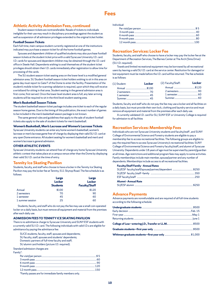## **Fees**

## **Athletic Activity Admission Fees, continued**

Student season tickets are nontransferable. Resale of tickets to individuals ineligible for their use may result in disciplinary proceedings against the student as well as suspension of all admission privileges extended to the original ticket holder.

### **Football Season Tickets**

Each full-time, main campus student currently registered at one of the institutions indicated may purchase a season ticket for all the home football games.

Spouses and dependent children of qualified students may also purchase football season tickets at the student ticket price with a valid Syracuse University I.D. card. I.D. cards for spouses and dependent children may be obtained through the I.D. card office in Steele Hall. Dependents wishing to avail themselves of the student ticket privileges should obtain their I.D. cards immediately after registration to allow time for processing of the cards.

The SU student season ticket seating area on the lower level is a modified general admission area. SU Student football season ticket holders wishing to sit in this area on game day must report to Gate F of the Dome to enter the facility. Presentation of the student's mobile ticket for scanning validation is required, upon which they will receive a wristband for sitting in that area. Student seating in the general admission area is first-come, first-served. Once the lower level student area is full, any later arriving students will be required to sit in the third level student seating area.

### **Men's Basketball Season Tickets**

The student basketball season ticket package includes one ticket to each of the regular season home games. Due to the timing of this publication, the exact number of games to be included in the men's basketball season package is not known.

The same general rules and guidelines that apply to the sale of student football tickets also apply to the sale of student tickets for men's basketball.

### **Women's Basketball, Men's Lacrosse and Women's Lacrosse Tickets**

Syracuse University students can enter any home women's basketball, women's lacrosse or men's lacrosse game free-of-charge by displaying their valid SU I.D. card at any open Dome entrance. All student seating for women's basketball and men's and women's lacrosse is general admission.

### **OTHER ATHLETIC EVENTS**

Syracuse University students can attend free-of-charge any home Syracuse University athletic contest that takes place at a campus venue other than the Dome by displaying their valid SU I.D. card at the time of entry.

### **Tennity Ice Skating Pavilion**

Students, faculty, and staff who choose to have a locker in the Tennity Ice Skating Pavilion may pay the locker fee at Tennity, 511 Skytop Road. The fee schedule is as follows:

|                  | Large<br>Locker<br><b>Students</b> | Large<br><b>Locker</b><br><b>Faculty/Staff</b> |
|------------------|------------------------------------|------------------------------------------------|
| Annual           | \$100                              | \$120                                          |
| 2 semesters      | 70                                 | 90                                             |
| 1 semester       | 45                                 | 60                                             |
| 1 summer session | 25                                 | 60                                             |

Students, faculty, and staff who do not pay the fee may use a small coin operated locker on a daily basis, but must remove all equipment and material from the premises after each daily use.

### **ADMISSION FEES TO TENNITY ICE SKATING PAVILION**

There is no admittance charge to Syracuse University and SUNY ESF students with a currently valid SU I.D. card. The following individuals with valid I.D.s are eligible for admittance by paying the admittance fee:

- SUCE students, faculty, staff, spouses and dependents; SU faculty, staff, spouses and students' dependents; Domestic partners of full-time faculty and staff;
- SU alumni card holders (picture I.D. required).

Standard admission charges are:

### Family\*:

\*Family passes are for immediate family members only.

Individual:

## **Recreation Services: Locker Fee**

Students, faculty, and staff who choose to have a locker may pay the locker fee at the Department of Recreation Services, The Barnes Center at The Arch (Sims Drive) (SU I.D. required).

Towels and limited recreational equipment may be borrowed by all recreational users by leaving a valid SU I.D. card at the service center. Restitution for damaged or lost equipment must be made before the I.D. card will be returned. The fee schedule is as follows:

| (1) Student: | <b>Locker</b> | (2) Faculty/Staff: | Locker |
|--------------|---------------|--------------------|--------|
|              |               |                    |        |
|              |               |                    |        |
|              |               |                    |        |
|              |               |                    |        |

Students, faculty and staff who do not pay the fee may use a locker and all facilities on a daily basis, but must provide their own lock, clothing and laundry service and must remove all equipment and material from the premises after each daily use.

A currently validated I.D. card for SU, SUNY ESF or University College is required for admission to all facilities

### **Recreation Services: Membership Fees**

Individuals who are not Syracuse University students and faculty/staff , and SUNY College of Environmental Science and Forestry students are eligible to pay a membership fee to access recreational facilities. The following groups are eligible to pay the required fees to access Syracuse University's recreational facilities: SUNY College of Environmental Science and Forestry faculty/staff, and alumni of Syracuse University. Dependents under 18 years of age must be supervised by parent/guardian at all times. Age restrictions and additional program fees may apply to some activities. Family memberships include main member, spouse/partner and any number of dependents. Memberships include access to all recreational facilities.

### **Faculty/Staff Family - Annual Rates**

| SU/ESF faculty/staff/spouse/partner/dependent \$250 |  |
|-----------------------------------------------------|--|
|                                                     |  |
|                                                     |  |
| Alumni - Annual Rate                                |  |
|                                                     |  |

### **Advance Payments**

Advance payments are nonrefundable and are required of all full-time students according to the following schedule: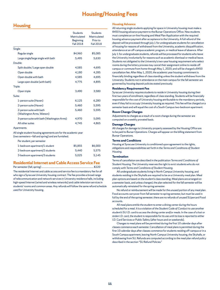## **Housing/Housing Fees**

## <span id="page-11-0"></span>**Housing**

|                                                       | <b>Students</b><br>Matriculated<br><b>Beginning</b><br><b>Fall 2018</b> | <b>Students</b><br>Matriculated<br>Prior to<br><b>Fall 2018</b> |
|-------------------------------------------------------|-------------------------------------------------------------------------|-----------------------------------------------------------------|
| Single:                                               |                                                                         |                                                                 |
| Regular single                                        | \$4,960                                                                 | \$5,085                                                         |
| Large single/large single with bath                   | 5,495                                                                   | 5,630                                                           |
| Double:                                               |                                                                         |                                                                 |
| Split double / Large open double                      | 4,585                                                                   | 4,695                                                           |
| Open double                                           | 4,180                                                                   | 4,285                                                           |
| Open double with bath                                 | 4,585                                                                   | 4,695                                                           |
| Large open double (with bath)                         | 4,775                                                                   | 4,895                                                           |
| Triple:                                               |                                                                         |                                                                 |
| Open triple                                           | 3,490                                                                   | 3,580                                                           |
| Suite:                                                |                                                                         |                                                                 |
| 1-person suite (Haven)                                | 6,125                                                                   | 6,280                                                           |
| 2-person suite (Haven)                                | 5,460                                                                   | 5,595                                                           |
| 2-person suite with bath<br>(Washington Arms, Watson) | 5.460                                                                   | 5,595                                                           |
| 3-person suite with bath (Washington Arms)            | 4,970                                                                   | 5,095                                                           |
| All other suites                                      | 4.745                                                                   | 4,865                                                           |

#### **Apartments**

All single student housing agreements are for the academic year (two semesters—fall and spring) and are furnished.

Per student, per semester

| \$5,855 | \$6,000 |
|---------|---------|
| 5.440   | 5.575   |
| 5.025   | 5.145   |
|         |         |

## **Residential Internet and Cable Access Service Fee**

Per semester (fall, spring)...

The residential Internet and cable access and service fee is a mandatory fee for all who sign a Syracuse University housing contract. The fee provides a broad range of telecommunication and network services in University residence halls, including high-speed Internet (wired and wireless networks) and cable television services in students' rooms and common areas. Any refunds will follow the same refund schedule used for University housing.

### **Housing Advance**

All returning single students applying for space in University housing must make a \$450 housing advance payment to the Bursar Operations Office. New students must complete an on-line Housing and Meal Plan Application with the required housing advance payment after acceptance to the University. A full refund of the deposit will be processed through July 1 for undergraduate students for cancellation of housing for reasons of withdrawal from the University, academic disqualification, attendance at an off-campus academic program, or medical leave of absence. After July 1 for undergraduate students, refunds will be processed for students who leave the University involuntarily for reasons such as academic dismissal or medical leave. Students not obligated to the University's two-year housing requirement who select rooms during the lottery process may cancel their assignment online to reside off campus or commute from home through May 1, 2020, and will be charged a \$450 cancellation fee. After May 1, 2020, the academic year housing commitment is financially binding regardless of class standing unless the student withdraws from the University. Students not in attendance on the main campus for the fall semester are governed by housing deposit policies stated previously.

### **Residency Requirement Fee**

Syracuse University requires students to reside in University housing during their first two years of enrollment, regardless of class standing. Students will be financially responsible for the cost of University housing attributable to the mandatory periods, even if they fail to occupy University housing as required. This fee will be charged on a semester basis and will equal the cost of a South Campus two-bedroom apartment.

### **Room Change Charges**

Adjustments to charges as a result of a room change during the semester are computed on a weekly prorated basis.

### **Damage Charges**

All charges for damage to University property assessed by the Housing Office are to be paid to Bursar Operations. Charges will appear on the billing statement from Bursar Operations.

### **Terms and Conditions**

Housing at Syracuse University is conditioned upon agreement to the rights, obligations and responsibilities set forth in the *Terms and Conditions of Student Housing*.

### **Termination**

Terms of cancellation are described in the publication *Terms and Conditions of Student Housing*. The University reserves the right to evict students who do not comply with *Terms and Conditions of Student Housing*.

All undergraduate students living in North Campus University housing, and students residing in the Skyhalls are required to be on a University meal plan. Meal plan options are based on the student's class standing. Meal plans are arranged on a semester basis, and unless changed, the plan selected for the fall semester will be automatically reinstated for the spring semester.

No refund or reimbursement will be made for the unused portion of any meal plan. Food accounts carryover from fall semester to spring semester, but must be used in full by the end of the spring semester; there are no refunds of unused SUpercard Food accounts.

All meal plans entitle the student to enter a dining center during the hours scheduled for a meal. It is a violation of the *Student Code of Conduct* to use another student's SU I.D. card to access the dining center and/or meals. In the case of a lost or stolen I.D. card, the student is responsible for its use until its loss is reported to either I.D. Card Services or Public Safety (after hours and on weekends).

Changes to meal plans will be permitted during the first 10 calendar days after classes commence each semester. Cancellation of meal plans is permitted during the first 10 calendar days after classes commence for students residing off-campus or in a South Campus apartment, leaving North Campus University housing, the Skyhalls, or withdrawing from SU. Refunds are computed according to the meal plan refund policy described in the section "SU Refund Policies."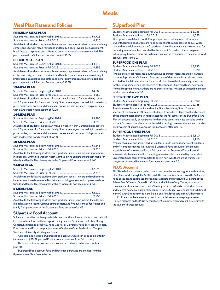## **Meals**

## <span id="page-12-0"></span>**Meal Plan Rates and Policies**

### **PREMIUM MEAL PLAN**

| Available to all students. Includes all meals seven days a week in North Campus dining |  |
|----------------------------------------------------------------------------------------|--|
| centers and 26 guest meals for friends and family. Special events, such as midnight    |  |
| breakfasts, pizza parties, and coffee and donut exam breaks are also included. This    |  |
| plan comes with a SUpercard Food account of \$685.                                     |  |

### **DELUXE MEAL PLAN**

| Available to all students. Includes all meals seven days a week in North Campus dining |  |
|----------------------------------------------------------------------------------------|--|
| centers and 24 guest meals for friends and family. Special events, such as midnight    |  |
| breakfasts, pizza parties, and coffee and donut exam breaks are also included. This    |  |
| plan comes with a SUpercard Food account of \$255.                                     |  |

### **19-MEAL PLAN**

| Available to all students. Includes 19 meals a week in North Campus dining centers      |  |
|-----------------------------------------------------------------------------------------|--|
| and 18 guest meals for friends and family. Special events, such as midnight breakfasts, |  |
| pizza parties, and coffee and donut exam breaks are also included. This plan comes      |  |

with a SUpercard Food account of \$205.

### **14-MEAL PLAN**

| Available to all students. Includes 14 meals a week in North Campus dining centers      |  |
|-----------------------------------------------------------------------------------------|--|
| and 15 guest meals for friends and family. Special events, such as midnight breakfasts, |  |
| pizza parties, and coffee and donut exam breaks are also included. This plan comes      |  |
| with a SUpercard Food account of \$200.                                                 |  |

### **10-MEAL PLAN**

| Available to the following students only: graduate, seniors, juniors, and sophomores. |  |
|---------------------------------------------------------------------------------------|--|
| Includes any 10 meals a week in North Campus dining centers and 9 guest meals for     |  |
| friends and family. This plan comes with a SUpercard Food account of \$165.           |  |

### **7-MEAL PLAN**

| Available to the following students only: graduate, seniors, juniors and sophomores. |  |
|--------------------------------------------------------------------------------------|--|
| Includes any 7 meals a week in North Campus dining centers and six guest meals for   |  |
| friends and family. This plan comes with a SUpercard Food account of \$330.          |  |

### **5-MEAL PLAN**

Available to the following students only: graduate, seniors and juniors. Includes any 5 meals a week in North Campus dining centers, and five guest meals for friends and family. This plan comes with a SUpercard Food account of \$405.

### **SUpercard Food Account**

SUpercard Food is a declining basis debit account that allows students to use their SU I.D. to purchase food and beverages in dining centers, Schine and Goldstein Dining Centers, Kimmel and Brockway Food Courts, all University Food Services snack bars, Food Works and FWII campus groceries, Warehouse Café, Starbucks at Campus West, and University Vending machines.

All meal plans include a SUpercard Food account, which can be supplemented in increments of \$25. SUpercard Food accounts carryover from fall to spring.

There are no transfers or carryovers of unused balances in food accounts after June 30.

SUpercard Food account food and beverage purchases are exempt from the 8 percent New York State sales tax.

## **SUperfood Plan**

| This option is available to South Campus apartment residents and off-campus |  |
|-----------------------------------------------------------------------------|--|

students. It provides a SUpercard Food account of the amount listed above. When selected for the fall semester, the SUperfood plan will automatically be reinstated for the spring semester unless canceled by the student. SUperfood funds carryover from fall to spring, however, there are no transfers or carryovers of unused balances in food accounts after June 30.

### **SUPERFOOD ONE PLAN**

| Available to Skyhall residents, South Campus apartment residents and off-campus           |  |
|-------------------------------------------------------------------------------------------|--|
| students. It provides a SUpercard Food account of the amount listed above. When           |  |
| selected for the fall semester, the Superfood One Plan will automatically be reinstated   |  |
| for the spring semester unless canceled by the student. SUpercard funds carry over        |  |
| from fall to spring, however, there are no transfers or carry overs of unused balances in |  |
| food accounts after lune 30.                                                              |  |

### **SUPERFOOD TWO PLAN**

Available to sophomore, junior and senior Skyhall residents, South Campus apartment residents and off-campus students. It provides a SUpercard Food account of the amount listed above. When selected for the fall semester, the SUperfood Two Plan will automatically be reinstated for the spring semester unless canceled by the student. SUpercard funds carryover from fall to spring, however, there are no transfers or carryovers of unused balances in food accounts after June 30.

### **SUPERFOOD THREE PLAN**

Available to junior and senior Skyhall residents, South Campus apartment residents and off-campus students. It provides a SUpercard Food account of the amount listed above. When selected for the fall semester, the Superfood Three Plan will automatically be reinstated for the spring semester unless canceled by the student. SUpercard funds carry over from fall to spring, however, there are no transfers or carryovers of unused balances in food accounts after June 30.

### **PLUS Account**

PLUS is a declining balance cash account that provides access to goods and services, other than food, through the SU I.D card. This account is separate from the SUpercard Food account and can be used for campus washers and dryers, to buy tickets at the Schine Box Office and Dome Box Office, at the Schine Copy Center, in campus convenience stores, in copiers run by Vending Services in Goldstein Student Center and selected academic buildings (Slocum, Syracuse Stage, Warehouse and Whitman), in the Orange Shoppe stores in the Dome, and for all products in the SU Bookstore.

PLUS account balances carry over from the fall semester to spring semester. Unused balances on the PLUS account after Commencement day will be credited to the student's bursar account.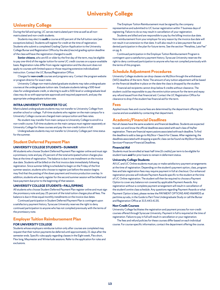## **University College**

## <span id="page-13-0"></span>**University College**

During the fall and spring, UC serves matriculated part-time as well as all nonmatriculated and non-credit students.

Students may elect to **audit** a course at 60 percent of the full tuition rate (see exceptions below). Students will register for credit at the time of registration. Students who submit a completed Grading Option Application to the University College Bursar and Registration Office by the elect/rescind grading option deadline of the class will have the registration changed to audit.

**Senior citizens**, who are 65 or older by the first day of the term, may be eligible to pay one-third of the regular tuition for some UC credit courses on a space-available basis. Registration rules differ from regular registration and the discount does not apply to courses with limited space or those requiring extensive individualized instruction. Contact the UC Bursar/Registration Office.

Charges for **non-credit** courses and programs vary. Contact the program website or program director for exact rates.

University College non-matriculated graduate students may take undergraduate courses at the undergraduate tuition rate. Graduate students taking a 500-level class for undergraduate credit, or electing to audit a 500-level or undergraduate level class may do so with appropriate approvals and required paperwork, and pay the appropriate undergraduate tuition rate.

### **INTRA-UNIVERSITY TRANSFER TO UC**

Matriculated undergraduate students may not transfer to University College from another school or college. Full-time students who register on the main campus for a University College course are charged main campus tuition and fees rates.

No student may transfer from main campus to University College to enroll in a non-credit course. Full-time students on the main campus must register separately at University College for these courses and pay the non-credit tuition in full.

Undergraduate students may not transfer to University College part-time status for the summer.

## **Student Deferred Payment Plan**

### **UNIVERSITY COLLEGE STUDENTS—SUMMER**

All students who choose Student Deferred Payment Plan register online and must sign a promissory note and pay 25 percent of the total anticipated tuition charges plus fees at the time of registration. The balance is due in one installment on the invoice due date. Students will be billed on the first invoice date immediately following registration. Since summer billing is scheduled to begin on the Friday of the first summer session, students who choose to register just before the session begins may find that the posting of the down payment and invoice production overlap. In addition, students who early register for the second summer session will be billed and have payment due prior to the beginning of that session.

### **UNIVERSITY COLLEGE STUDENTS—FALL/SPRING**

All students who choose Student Deferred Payment Plan register online and must sign the promissory note and pay 25 percent of the total tuition charges plus all fees. The balance is due in three equal monthly installments on the invoice due dates.

Continued participation in Student Deferred Payment Plan is contingent upon a satisfactory payment history. Syracuse University reserves the right to deny continued participation to anyone who has not complied previously with the terms of the promissory note.

## **Employer Tuition Reimbursement Plan**

### **FOR UNIVERSITY COLLEGE**

Students whose employers reimburse tuition only after courses are completed may request that their tuition payments be deferred until approximately 21 days after the semester ends. Specific rules apply regarding classes in the Eight week, Flex short, Flex long, Maymester and Winterlude sessions. Refer to the application for rules and exclusions.

The Employer Tuition Reimbursement must be signed by the company representative and submitted to UC bursar registration within 7 business days of registering. Failure to do so may result in cancellation of your registration.

Students are billed and are responsible to pay by the billing invoice due date. Non-reimbursement from your employer for any reason by the invoice due date will not result in an extension to that date. It will also result in a late payment fee and denied participation in the plan for future terms. See the section "Penalties, Late Fee" on pg. 6.

Continued participation in the Employer Tuition Reimbursement Program is contingent upon a satisfactory payment history. Syracuse University reserves the right to deny continued participation to anyone who has not complied previously with the terms of this program.

### **Schedule Adjustment Procedures**

University College students can drop classes via MySlice through the withdrawal (WD) deadline of the term. Note: The amount of any tuition adjustment will be based on the financial deadline in place on the date the class is dropped by the student.

Financial aid recipients cannot drop below 6 credits without clearance. The student could be responsible to pay the entire tuition amount for the term and repay any refund issued from that financial aid. Contact the UC Registration Office for clearance to drop if the student has financial aid for the term.

### **Fees**

Applied music fees and course fees are determined by the department offering the course and are available by contacting that department.

### **Academic/Financial Deadlines**

Not all classes have the same academic and financial deadlines. Students are expected to seek out and know the official deadlines associated with each class of his/her registration. There are financial repercussions associated with each deadline. To find the deadline to add a class go to MySlice > Search for Classes. After registering, the deadlines associated with dropping a specific class can be found via MySlice>Student Services>Finances>Financial Deadlines.

### **Financial Aid**

Students must be enrolled at least half time (6 credits) per term to be eligible for student loans **and** for prior loans to remain in deferment status.

### **University College Students**

All UC and UC Online students must pay or make satisfactory payment arrangements at the time of registration. Depending on the student's payment option, class, program fees and late registration fees may require payment in full at checkout. Our enhanced registration process will indicate Payment Awards specific to the student at the time of UC Online registration. The student will then be required to choose a Payment Option to cover any balance not covered by applicable Payment Awards. Any registration without a complete payment arrangement will result in cancellation of the student's entire class schedule. Any questions regarding Payment Awards or what Payment Option is best, please review the PAYMENT OPTIONS AND AWARDS at parttime.syr.edu, in the Guide to Part-Time Undergraduate Study or call the Bursar and Registration Office at 315.443.4135.

### **Non-Credit Courses**

University College facilitates the registration and payment process for non-credit courses offered through Syracuse University. Payment in full is required at the time of registration. Failure to pay in full will result in cancellation or your registration.

The fees and refund policies for these courses differ based on each individual course. For course-specific information, contact the department offering the course.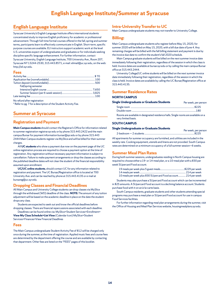## <span id="page-14-0"></span>**English Language Institute**

Syracuse University's English Language Institute offers international students concentrated study to improve English proficiency for academic or professional advancement. Through full-time formal courses offered in the fall, spring and summer terms, participants learn to effectively communicate in English. Short-term, specific purpose courses are available. ELI instructors support academic work at the level U.S. universities expect of undergraduates and graduates or for individuals seeking discipline specific language enhancement. For further information, contact Syracuse University, English Language Institute, 700 University Ave., Room 207, Syracuse NY 13244-2530, 315.443.8571, e-mail: elimail@uc.syr.edu, on the web: http://eli.syr.edu.

### **Fees**

| Fall/spring semester |  |
|----------------------|--|
|                      |  |
|                      |  |
|                      |  |

No refund after registration

\* Refer to pg. 7 for a description of the Student Activity Fee.

## **Summer at Syracuse**

## **Registration and Payment**

**Main Campus students** should contact the Registrar's Office for information related to summer registration registrar.syr.edu or by phone 315.443.2422 and the main campus Bursar for payment information bursar@syr.edu or by phone 315.443 2444 Main Campus students register via MySlice and will be billed for their summer charges.

All **UC students** who show a payment due now on the payment page of the UC online registration process are required to choose a payment option at the time of registration. Any registration without necessary payment information is subject to cancellation. Failure to make payment arrangements or drop the classes according to the published deadline dates will not clear the student of the financial responsibility assumed upon enrollment.

**UC/UC online students**, should contact UC for any information related to registration and payment. The UC Bursar/Registration office is located at 700 University Ave. and can be reached by phone at 315.443.4135 or e-mail at bursareg@uc.syr.edu.

### **Dropping Classes and Financial Deadlines**

All Main Campus and University College students can drop classes via MySlice through the withdrawal (WD) deadline of the class. **NOTE:** The amount of any tuition adjustment will be based on the academic deadline in place on the date the student drops any class.

Students are expected to seek out and know the official deadlines before dropping classes. There are financial repercussions associated with each deadline.

Deadlines can be found online via: MySlice>Student Services>Enrollment> **View My Class Schedule>List View** (Calendar Icon) MySlice>Student Services>Finances>View Financial Deadlines

### **Fees**

The Main Campus undergraduate Student Activity Fee of \$12 will be charged only once during the summer, at the time of registration. Applied music fees and course fees are determined by the department offering the course and are available by contacting that department. Other fees are listed on the "FEES" pages of this booklet.

## **Intra-University Transfer to UC**

Main Campus undergraduate students may not transfer to University College.

### **Billing:**

Main Campus undergraduate students who register before May 15, 2020, for summer 2020 will be billed on May 15, 2020, with a bill due date of June 4. Any remaining charges will be billed with the fall billing statement and payment is due by the invoice due date to confirm the student's fall 2020 schedule.

Main Campus graduate students will be billed on the next summer invoice date immediately following their registration, regardless of the session in which the class is held. Invoice dates are available at bursar.syr.edu or by calling the main campus Bursar office at 315.443.2444.

University College/UC online students will be billed on the next summer invoice date immediately following their registration, regardless of the session in which the class is held. Invoice dates are available by calling the UC Bursar/Registration office at 315.443.4135.

## **Summer Residence Rates**

### **NORTH CAMPUS**

| Single Undergraduate or Graduate Students | Per week, per person |
|-------------------------------------------|----------------------|
|                                           |                      |
|                                           |                      |
|                                           |                      |

Rooms are available in designated residence halls. Single rooms are available on a very limited basis.

### **SOUTH CAMPUS**

### **Single Undergraduate or Graduate Students**

| Per week, per persor |
|----------------------|
|                      |

All apartments for summer occupancy are furnished, and utilities are included in the weekly rate. Cooking equipment, utensils and linens are not provided. South Campus rates are determined on a minimum occupancy of a full summer session—6 weeks.

## **Summer Meal Plan Rates**

During both summer sessions, undergraduates residing in North Campus housing are required to choose either a 19- or 14-meal plan, or a 10-meal plan with a \$30 per week SUpercard Food account.

| 10 meals per week plus \$30 SUpercard Food account 214 per week |  |
|-----------------------------------------------------------------|--|

Students may also purchase a SUpercard Food account which can be incremented in \$25 amounts. A SUpercard Food account is a declining balance account. Students purchase food with it on an à-la-carte basis.

South Campus residents, graduate students and other students attending special programs may purchase a meal plan or SUpercard Food account for use in campus Food Services facilities.

For further information regarding meal plan arrangements during the summer, visit the Office of Housing and Meal Plan Services website, housingmealplans.syr.edu.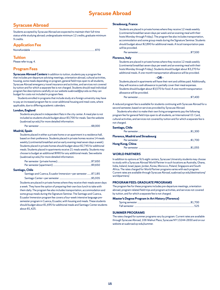## **Syracuse Abroad**

## <span id="page-15-0"></span>**Syracuse Abroad**

Students accepted by Syracuse Abroad are expected to maintain their full-time status while studying abroad; undergraduate minimum 12 credits, graduate minimum 9 credits.

### **Application Fee**

|--|

### **Tuition**

Please refer to pg. 4.

### **Program Fees**

**Syracuse Abroad Centers** In addition to tuition, students pay a program fee that includes pre-departure advising meetings, orientation abroad, cultural activities, housing, some meals depending on program, general field trips open to all students, Syracuse Abroad emergency travel insurance and activities, and services not covered by tuition and for which a separate fee is not charged. Students should read individual program fee descriptions carefully on our website suabroad@syr.edu so they can budget for costs not included in program fees.

Students enrolled in programs that include study at a foreign university may have to pay an increased program fee to cover additional housing and meal costs, where applicable, due to differing academic calendars.

### **London, England**

Students are placed in independent flats in the city center. A meal plan is not included so students should budget about \$3,700 for meals. See the website (suabroad.syr.edu) for more detailed information.

Per semester ..........................................................................................\$8,000

#### **Madrid, Spain**

Students placed in either a private home or an apartment in a residence hall, based on their preference. Students placed in private homes receive 14 meals weekly (continental breakfast and an early evening meal seven days a week). Students placed in private homes should budget about \$2,745 for additional meals. Students placed in apartments receive 21 meals weekly. Students may choose to budget an additional \$990 for any additional meals. See website (suabroad.syr.edu) for more detailed information.

### **Santiago, Chile**

| Santiago and Cuenca, Ecuador Immersion-per semester  \$7,185 |  |
|--------------------------------------------------------------|--|
|                                                              |  |

Students are placed in private homes where they receive their meals seven days a week. They have the option of preparing their own box lunch to take with them daily. The program fee also includes transportation, accommodation and some group meals during the Signature Seminar. The Santiago and Cuenca, Ecuador Immersion program fee covers a four-week intensive language presemester program in Cuenca, Ecuador, with housing and meals. These students should budget about \$1,695 for additional meals and Santiago Center students about \$1,425.

### **Strasbourg, France**

Students are placed in private homes where they receive 12 meals weekly (continental breakfast seven days per week and an evening meal with their hosts Monday through Friday). The program fee also includes transportation, accommodation and some group meals during the Signature Seminar. Students should budget about \$2,890 for additional meals. A local transportation pass will be provided.

Per semester...........................................................................................\$7,500

### **Florence, Italy**

Students are placed in private homes where they receive 12 meals weekly (continental breakfast seven days per week and an evening meal with their hosts Monday through Friday). Students should budget about \$3,270 for additional meals. A one-month transportation allowance will be provided.

#### **- OR -**

Students placed in apartments will have their rent and utilities paid. Additionally, they will receive a cash allowance to partially cover their meal expenses. Students should budget about \$3,575 for food. A one-month transportation allowance will be provided.

Per semester...........................................................................................\$7,400

A reduced program fee is available for students continuing with Syracuse Abroad for a second semester, based on services provided by Syracuse Abroad.

Students who elect to make their own living arrangements pay the following program fee for general field trips open to all students, an International I.D. Card, cultural activities, and services not covered by tuition and for which a separate fee is not charged.

### **Santiago, Chile**

| Florence, Madrid and Strasbourg |  |
|---------------------------------|--|
|                                 |  |
| Hong Kong, China                |  |
|                                 |  |

### **WORLD PARTNERS**

In addition to options at SU's eight centers, Syracuse University students may choose to study with a Syracuse Abroad World Partner in such locations as Australia, Ghana, India, Ireland, Israel, Japan, Jordan, Korea, Morocco, Poland, Singapore and South Africa. The rates charged for World Partner programs varies with each program. Current rates are available through Syracuse Abroad, suabroad.syr.edu/destinations/ worldpartners/.

### **PROGRAM FEES: GRADUATE PROGRAMS**

The program fee for these programs includes pre-departure meetings, orientation abroad, program-related field trips and program activities, and services not covered by tuition, and for which a separate fee is not charged.

#### **Master's Degree Program in Art History (Florence)**

### **SUMMER PROGRAMS**

The rates charged for summer programs vary by program. Current rates are available through Syracuse Abroad, 106 Walnut Place, Syracuse NY 13244-2650 and on our website at suabroad.syr.edu/summer.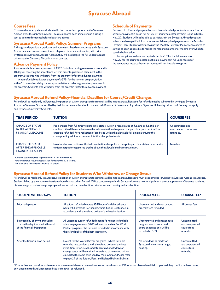## **Syracuse Abroad**

## **Course Fees**

Courses which carry a fee are indicated in the course descriptions on the Syracuse Abroad website, *suabroad.syr.edu*. Fees are updated each semester and a listing is sent to admitted students before departure abroad.

### **Syracuse Abroad Audit Policy: Summer Programs**

Although undergraduate, graduate, and nonmatriculated students may audit Syracuse Abroad summer courses, except internships and independent studies, with prior written approval from Syracuse Abroad, they will be charged the full undergraduate tuition rate for Syracuse Abroad summer courses.

## **Advance Payment Policy**

A nonrefundable advance payment of \$575 for fall and spring semesters is due within 10 days of receiving the acceptance letter in order to guarantee placement in the program. Students who withdraw from the program forfeit the advance payment.

A nonrefundable advance payment of \$575, for the summer program, is due within 10 days of receiving the acceptance letter in order to guarantee placement in the program. Students who withdraw from the program forfeit the advance payment.

## **Schedule of Payments**

Payment of tuition and program fee must be made in full prior to departure. The fall semester payment is due in full by July 17; spring semester payment is due in full by Nov. 27. Students will not be able to participate in the Syracuse Abroad program unless they have paid in full or have made all the required payments on the Monthly Payment Plan. Students desiring to use the Monthly Payment Plan are encouraged to sign up as soon as possible to realize the maximum number of months over which to pay the balance due.

Late applicants who are accepted after July 17 for the fall semester or Nov. 27 for the spring semester must make payment in full upon receipt of the acceptance letter; otherwise students will not be able to register.

## **Syracuse Abroad Refund Policy-Financial Deadline for Course/Credit Changes**

Refunds will be made only in Syracuse. No portion of tuition or program fee refunds will be made abroad. Requests for refunds must be submitted in writing to Syracuse Abroad in Syracuse. Students billed by their home universities should contact their Bursar's Office concerning refunds. Syracuse University refund policies may not apply to non-Syracuse University Students.

| <b>TIME PERIOD</b>                                                           | <b>TUITION</b>                                                                                                                                                                                                                                                                                                                                                                                                       | <b>COURSE FEE</b>                                      |
|------------------------------------------------------------------------------|----------------------------------------------------------------------------------------------------------------------------------------------------------------------------------------------------------------------------------------------------------------------------------------------------------------------------------------------------------------------------------------------------------------------|--------------------------------------------------------|
| <b>CHANGE OF STATUS</b><br>BY THE APPLICABLE<br><b>FINANCIAL DEADLINE</b>    | For a change from full-time <sup>1</sup> to part-time <sup>2</sup> status: tuition is recalculated at \$2,206 or \$2,363 per<br>credit and the difference between the full-time tuition charge and the part-time per-credit tuition<br>charge is refunded. For a reduction of credits to within the allowable full-time maximum: <sup>3</sup> the<br>corresponding additional per-credit tuition charge is refunded. | Uncommitted and<br>unexpended course fees<br>refunded. |
| <b>CHANGE OF STATUS</b><br>AFTER THE APPLICABLE<br><b>FINANCIAL DEADLINE</b> | No refund of any portion of the full-time tuition charge for a change to part-time status, or any extra<br>tuition charges for registered credits above the allowable full-time maximum.                                                                                                                                                                                                                             | No refund.                                             |

<sup>1</sup> Full-time status requires registration for 12 or more credits.

<sup>2</sup> Part-time status requires registration for fewer than 12 credits.

<sup>3</sup>The allowable full-time maximum is 19 credits.

## **Syracuse Abroad Refund Policy for Students Who Withdraw or Change Status**

Refunds will be made only in Syracuse. No portion of tuition or program fee refunds will be made abroad. Requests must be submitted in writing to Syracuse Abroad in Syracuse. Students billed by their home universities should contact their Bursar's Office concerning refunds. Syracuse University refund policies may not apply to non-Syracuse students. Status change refers to change in program location or type, travel option, orientation, and housing and meal option.

| <b>STUDENT WITHDRAWS</b>                                                                                | <b>TUITION</b>                                                                                                                                                                                                                                                                                                                                                                   | <b>PROGRAM FEE</b>                                                                                         | <b>COURSE FEE*</b>                                        |
|---------------------------------------------------------------------------------------------------------|----------------------------------------------------------------------------------------------------------------------------------------------------------------------------------------------------------------------------------------------------------------------------------------------------------------------------------------------------------------------------------|------------------------------------------------------------------------------------------------------------|-----------------------------------------------------------|
| Prior to departure                                                                                      | All tuition refunded except \$575 nonrefundable advance<br>payment. For World Partner programs, tuition is refunded in<br>accordance with the refund policy of the host institution.                                                                                                                                                                                             | Uncommitted and unexpended<br>program fees refunded.                                                       | All course fees                                           |
| Between day of arrival through 5<br>p.m. on the day that marks the end<br>of the financial drop period: | All unearned tuition refunded except \$575 non-refundable<br>advance payment or a \$100 administrative fee. For World<br>Partner programs, the tuition is refunded in accordance with<br>the refund policy of the host institution.                                                                                                                                              | Uncommitted and unexpended<br>program fees for room and<br>board expenses only will be<br>refunded at 50%. | Uncommitted<br>and unexpended<br>course fees<br>refunded. |
| After the financial drop period                                                                         | Except for the World Partner programs-where tuition is<br>refunded in accordance with the refund policy of the host<br>institution. Syracuse Abroad students who withdraw or<br>change status will be entitled to a refund of unearned tuition<br>calculated the same basis used by Main Campus. Please refer<br>to page 19 of the Tuition, Fees, and Related Policies Bulletin. | No refund will be made for<br>Syracuse University-arranged<br>housing.                                     | Uncommitted<br>and unexpended<br>course fees<br>refunded. |

\* Course fees are nonrefundable except for an excused absence due to documented health reasons OR a class or class-related field trip scheduling conflict. In these cases, only uncommitted and unexpended course fees will be refunded.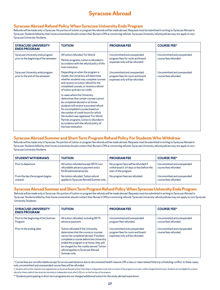## **Syracuse Abroad**

## **Syracuse Abroad Refund Policy When Syracuse University Ends Program**

Refunds will be made only in Syracuse. No portion of tuition or program fee refunds will be made abroad. Requests must be submitted in writing to Syracuse Abroad in Syracuse. Students billed by their home universities should contact their Bursar's Office concerning refunds. Syracuse University refund policies may not apply to non-Syracuse University Students.

| <b>SYRACUSE UNIVERSITY</b>                                                  | <b>TUITION</b>                                                                                                                                                                                                                                                                                                                                                                                                                                                                                                                                                                                            | <b>PROGRAM FEE</b>                                                                               | <b>COURSE FEE*</b>                                  |
|-----------------------------------------------------------------------------|-----------------------------------------------------------------------------------------------------------------------------------------------------------------------------------------------------------------------------------------------------------------------------------------------------------------------------------------------------------------------------------------------------------------------------------------------------------------------------------------------------------------------------------------------------------------------------------------------------------|--------------------------------------------------------------------------------------------------|-----------------------------------------------------|
| <b>ENDS PROGRAM</b>                                                         |                                                                                                                                                                                                                                                                                                                                                                                                                                                                                                                                                                                                           |                                                                                                  |                                                     |
| Syracuse University ends program<br>prior to the beginning of the semester: | All tuition refunded. For World                                                                                                                                                                                                                                                                                                                                                                                                                                                                                                                                                                           | Uncommitted and unexpended<br>program fees for room and board<br>expenses only will be refunded. | Uncommitted and unexpended                          |
|                                                                             | Partner programs, tuition is refunded in<br>accordance with the refund policy of the<br>host institution.                                                                                                                                                                                                                                                                                                                                                                                                                                                                                                 |                                                                                                  | course fees refunded.                               |
| Syracuse University ends program<br>prior to the end of the semester:       | Depending on when the program is<br>closed, the University will determine<br>whether students may complete courses<br>and receive no tuition refund for the<br>completed courses, or receive a refund<br>of tuition and earn no credit.<br>In cases where the University<br>determines that certain courses cannot<br>be completed abroad or at home,<br>students will receive a prorated refund<br>for uncompleted courses based on<br>the number of credit hours for which<br>the student was registered. For World<br>Partner programs, tuition is refunded in<br>accordance with the refund policy of | Uncommitted and unexpended<br>program fees for room and board<br>expenses only will be refunded. | Uncommitted and unexpended<br>course fees refunded. |
|                                                                             | the host institution.                                                                                                                                                                                                                                                                                                                                                                                                                                                                                                                                                                                     |                                                                                                  |                                                     |

## **Syracuse Abroad Summer and Short Term Program Refund Policy For Students Who Withdraw**

Refunds will be made only in Syracuse. No portion of tuition or program fee refunds will be made abroad. Requests must be submitted in writing to Syracuse Abroad in Syracuse. Students billed by their home universities should contact their Bursar's Office concerning refunds. Syracuse University refund policies may not apply to non-Syracuse University Students.

| <b>STUDENT WITHDRAWS</b>                   | <b>TUITION</b>                                                                                          | <b>PROGRAM FEE</b>                                                                                       | <b>COURSE FEE*</b>                                  |
|--------------------------------------------|---------------------------------------------------------------------------------------------------------|----------------------------------------------------------------------------------------------------------|-----------------------------------------------------|
| Prior to departure:                        | All tuition refunded except \$575 non-<br>refundable advance payment and a<br>\$100 administrative fee. | No program fees will be refunded if<br>withdrawal is 14 days or less before the<br>start of the program. | Uncommitted and unexpended<br>course fees refunded. |
| From the day the program begins<br>onward: | No tuition refunded. Tuition refund<br>applies to Syracuse Abroad Summer only.                          | No program fees are refunded.                                                                            | Uncommitted and unexpended<br>course fees refunded. |

## **Syracuse Abroad Summer and Short Term Program Refund Policy When Syracuse University Ends Program**

Refunds will be made only in Syracuse. No portion of tuition or program fee refunds will be made abroad. Requests must be submitted in writing to Syracuse Abroad in Syracuse. Students billed by their home universities should contact their Bursar's Office concerning refunds. Syracuse University refund policies may not apply to non-Syracuse University Students.

| <b>SYRACUSE UNIVERSITY</b><br><b>ENDS PROGRAM</b> | <b>TUITION</b>                                                                                                                                                                                                                                                                                                  | <b>PROGRAM FEE</b>                                                                               | <b>COURSE FEE*</b>                                  |
|---------------------------------------------------|-----------------------------------------------------------------------------------------------------------------------------------------------------------------------------------------------------------------------------------------------------------------------------------------------------------------|--------------------------------------------------------------------------------------------------|-----------------------------------------------------|
| Prior to the beginning of the Summer<br>Program   | All tuition refunded, including \$575<br>advance payment.                                                                                                                                                                                                                                                       | Uncommitted and unexpended<br>program fees refunded.                                             | Uncommitted and unexpended<br>course fees refunded. |
| Prior to the ending date:                         | Tuition refunded if the University<br>determines that the course or courses<br>cannot be completed abroad. If student<br>completes a course before the University<br>ended the program or at home, they will<br>be charged for the credits earned. Tuition<br>refund applies to Syracuse Abroad<br>Summer only. | Uncommitted and unexpended<br>program fees for room and board<br>expenses only will be refunded. | Uncommitted and unexpended<br>course fees refunded. |

\* Course fees are nonrefundable except for an excused absence due to documented health reasons OR a class or class-related field trip scheduling conflict. In these cases, only uncommitted and unexpended course fees will be refunded.

<sup>1.</sup> Students with written requests to be registered for an Syracuse Abroad summer internship or independent study that is not part of the program curriculum, will be charged the full tuition. Students are not eligible for a refund for these credits if they drop the internship or independent study after 5:00 p.m. on the first day of the program.

<sup>\*\*</sup> Students participating in short term programs are not charged additional tuition for the study abroad experience.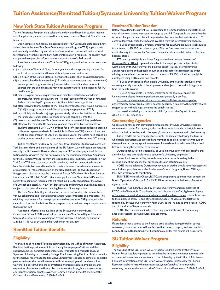## <span id="page-18-0"></span>**Tuition Assistance/Remitted Tuition/Syracuse University Tuition Waiver Program**

## **New York State Tuition Assistance Program**

Tuition Assistance Program aid is calculated and awarded based on student income and, if applicable, parental or spousal income, as reported on New York State income tax returns.

Upon completing a financial aid application (FAFSA), available at studentaid.gov, a direct link to the New York State Tuition Assistance Program (TAP) application is automatically available. Higher Education Services Corporation will mail a request for information to the student if any further information is required. The student must complete the request for information for determination of a TAP award.

A student may receive a New York State TAP grant, provided he or she meets the following:

- (1) is a resident of New York State for one year immediately preceding the term for which aid is requested and has established permanent residence;
- (2) is a citizen of the United States or permanent resident alien or a paroled refugee;
- (3) is a matriculated full-time student (12 credit hours or more per state requirement) in an approved program of study (courses taken for audit and certain credit courses that are being repeated may not count toward full-time eligibility for TAP certification);
- (4) meets program pursuit requirements and maintains satisfactory academic progress. For further details, view the "Policies" section of the Office of Financial Aid and Scholarship Program's website, financialaid.syr.edu/policies.
- (5) after receiving four semesters of TAP aid, undergraduates must have a cumulative C (2.0) average to receive the fifth and subsequent payments of TAP;
- (6) has officially declared a major/program of study prior to the first day of classes of the junior year (junior status is defined as having earned 60 credits);
- (7) does not exceed the New York State net taxable income eligibility guidelines.
- (8) effective for the 2007-08 academic year and thereafter, TAP is available for students attending SUNY, CUNY and not-for-profit independent degree-granting colleges on a part-time basis. To be eligible for Part-time TAP, you must have been a first-time freshman in the 2006-07 academic year or thereafter, have earned 12 credits or more in each of two consecutive semesters, and maintain a "C" average.

Tuition assistance funds may be used only toward tuition. Students who are New York State residents and are recipients of the SU Tuition Waiver Program are required to apply for TAP awards. These students may use TAP funds to pay any additional tuition charges incurred that are not covered by their tuition scholarship. Applicants for the SU Tuition Waiver Program are required to apply in a timely fashion for a New York State TAP award each year benefits are being used. An exemption from the New York State TAP award is available if certain income or residency requirements are satisfied. For more information on the New York State Tap award exemption filing process, please contact the University's Bursar Office New York State Awards Coordinator at 315.443.5346. Failure to apply for a New York State TAP award or satisfy the exemption requirements will result in a \$1,000 reduction of the waiver (\$500 each semester). All New York State awards and minimum award amounts are subject to change or elimination pending New York State legislation.

The New York State Higher Education Services Corporation also administers various scholarship and fellowship programs for undergraduates and graduates. The eligibility requirements for these programs are the same as for TAP grants, with the exception of income limitations. These programs may also have unique requirements that must be met.

Additional information is available at the Syracuse University Bursar Operations Office, 119 Bowne Hall, or contact New York State Higher Education Services Corporation, 99 Washington Avenue, Albany NY 12255; by phone at 1.888.697.4372; or by visiting their website at hesc.ny.gov.

## **Remitted Tuition Benefits**

## **Eligibility**

The awarding of Remitted Tuition is administered by the Office of Human Resources. Remitted Tuition provides credit hours for eligible employees/retirees and their spouses/same sex domestic partners for undergraduate and graduate study at Syracuse University or University College. Employees using Remitted Tuition benefits for themselves receive a full tuition waiver. Employees' spouses or same-sex domestic partners who receive benefits transferred from an employee will receive a tuition waiver of 85 percent. For more information on tuition credit use, availability and expiration, please view the Human Resources website: http://humanresources.syr. edu/benefits/tuition-benefits-overview/remitted-tuition-benefits/ or contact the Office of Human Resources at 315.443.4042.

### **Remitted Tuition Taxation**

Below you will find the current tax rules relating to a remitted tuition benefit (RTB). As with all tax rules, these are subject to change by the U.S. Congress. In the event that the tax rules change, the new rules will be posted on the Comptroller's website at http:// comptroller.syr.edu when they become available from the Internal Revenue Service.

RTB used by an eligible University employee for qualifying graduate-level courses is tax free up to \$5,250 per calendar year. (This tax free treatment assumes the applicable requirements of the Syracuse University Educational Assistance Plan have been satisfied.)

RTB used by an eligible employee for graduate-level courses in excess of the annual \$5,250 limit is generally taxable to the employee, and subject to tax withholding by the University at the time the benefit is used. Internal Revenue Service regulations and applicable court decisions set forth circumstances under which graduate-level courses in excess of the annual \$5,250 limit taken by eligible employees using RTB may be non-taxable.

RTB used by the spouse of an eligible University employee for graduate-level courses generally is taxable to the employee, and subject to tax withholding at the time the benefit is used.

RTB used by an eligible University employee or the spouse of an eligible University employee for undergraduate courses generally is tax free.

RTB used by the same-sex domestic partner of a University employee for undergraduate and/or graduate level courses generally is taxable to the employee, and subject to tax withholding at the time the benefit is used.

For questions relating to the taxation of RTB, contact the Payroll Office at 315.443.4042, extension 2.

### **Cooperating Agencies**

Cooperating agencies that provide field instruction for Syracuse University students receive tuition credits. Each agency authorizes those individuals who are eligible to use tuition credits in accordance with the agency's contractual agreement with the University.

Tuition credits are not available for use until the semester following the term in which field instruction was provided and may not be applied retroactively to tuition charges incurred during a previous semester. Unused credits are forfeited if not used before or during the semester of expiration.

Outside agency tuition credits may be used in conjunction with any benefits that an individual may be eligible for as a spouse of a University employee.

Determination of taxability, as well as any actual tax withholding, is the responsibility of the agency that authorizes the use of tuition credits.

NOTE: Individuals using Outside Agency tuition credits should have their agencies submit the appropriate authorization forms to Special Programs, Bursar Office, at least two weeks prior to registration.

SUNY ESF, Hendricks Chapel, ROTC, and cooperating agencies must contact the Bursar Operations Office at 315.443.5115 for assistance with the use of outside agency credits.

TUITION ASSISTANCE used by Syracuse University campus employees of ROTC and of Hendricks Chapel (who are not otherwise benefits eligible employees of Syracuse University) for undergraduate or graduate level courses is taxable income to the employee of ROTC and of Hendricks Chapel. The value of the RTB will be reported by Syracuse University on Form 1099 to the IRS and to employees of ROTC and of Hendricks Chapel who use it.

NOTE: The University at its discretion may prohibit the use of cooperating agencies credits for certain courses and programs.

### **Refunds**

If a student drops a course by the financial drop deadline during the fall or spring semester (for summer refer to financial deadline dates on page 3) and has no tuition liability, the remitted tuition benefit or tuition credit for that course will be restored.

## **SU Tuition Waiver Program**

### **Eligibility**

The awarding of the SU Tuition Waiver Program is administered by the Office of Human Resources. It is important to note that the tuition waiver is not automatically activated with a student's acceptance to the University by the Office of Admissions. For more information on the SU Tuition Waiver Program, please view the Human Resources website, http://humanresources.syr.edu/benefits/tuition-benefitsoverview/ dependent/ or contact the Office of Human Resources at 315.443.4042.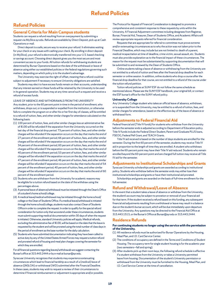## **Refund Policies**

## <span id="page-19-0"></span>**Refund Policies**

### **General Criteria for Main Campus students**

Students can request a refund resulting from an overpayment by submitting a request via MySlice.syr.edu. Refunds are available by Direct Deposit, pick up at Cash Operations or mail.

Direct deposit is a safe, secure way to receive your refund. It eliminates waiting for your check or any issues with cashing your check. By enrolling in direct deposit (in MySlice), your refund is electronically transferred into your U.S. based checking or savings account. Choosing direct deposit gives you the most secure and most convenient access to your funds. All tuition refunds for withdrawing students are determined by Bursar Operations based on the date of the withdrawal or leave of absence using either our established policies or the federal regulations governing such matters, depending on which policy is to the student's advantage.

The University may exercise the right of offset, meaning that a refund could be subject to adjustment if necessary to ensure University obligations are satisfied.

Students may elect to have excess funds remain on their accounts, understanding that any interest earned on these funds will be retained by the University to be used in its general operation. Students may at any time cancel such a request and receive a refund of excess funds.

LEAVE OF ABSENCE AND WITHDRAWALS FROM THE UNIVERSITY

Any student, prior to the 60 percent point in time in the period of enrollment, who withdraws, drops out, or is suspended or expelled from the institution, or otherwise fails to complete the program on or after his or her first day of classes, will be entitled to a refund of tuition, fees, and other similar charges for attendance calculated on the following basis:

- (1) 100 percent of tuition, fees, and other similar charges less an administrative fee of \$100 will be refunded if the separation from the University occurred on the last day of the financial drop period. 73 percent of tuition, fees, and other similar charges will be refunded if the separation occurs on the day that marks the end of 27 percent of the enrollment period; 66 percent of tuition, fees, and other similar charges will be refunded if the separation occurs on the day that marks the end of 34 percent of the enrollment period; 60 percent of tuition, fees, and other similar charges will be refunded if the separation occurs on the day that marks the end of 40 percent of the enrollment period; 53 percent of tuition, fees, and other similar charges will be refunded if the separation occurs on the day that marks the end of 47 percent of the enrollment period; 46 percent of tuition, fees, and other similar charges will be refunded if separation occurs on the day that marks the end of 54 percent of the enrollment period; 40 percent of tuition, fees, and other similar charges will be refunded if separation occurs on the day that marks the end of 60 percent of the enrollment period.
- (2) Students who are withdrawn from the University for academic reasons may be eligible for a tuition refund based on the date of the withdraw using the percentages above.
- (3) A personal leave of absence/withdrawal must be initiated through the Dean's Office of a student's home school/college.
- (4) A medical leave/medical withdrawal may be initiated through the home school/ college or the Dean of Students Office. If a medical leave/withdrawal is initiated through the home school/college, students must also contact Dean of Students Office in order to complete the request. In order to qualify for the special refund consideration for tuition only that we extend under these circumstances, students must submit supporting medical documentation within 30 days of when the request is initiated. Otherwise, standard University policies will apply. Medical refunds, excluding the administrative fee of \$100, will be based on the date that the leave is requested by the student and will be prorated using the total number of class days in the period of enrollment as the base number for the daily calculation.
- (5) Students who have submitted documentation indicating they have been called to active duty by any of the United States Armed Forces may request a tuition refund and prorated refund of housing and meal plan charges covering the semester for which they are enrolled.

For all financial questions regarding leaves/withdrawals we suggest contacting the Bursar's office at 315.443.2444 or by e-mail at bursar@syr.edu.

Syracuse University recognizes that students may experience extenuating circumstances which lead to financial hardship as a result of a (medical) leave of absence ((M)LOA) or withdrawal (WD) submitted after the Financial Deadline. In these cases, students may wish to request a review of their circumstances to determine if financial reimbursement or adjustment is appropriate and/or possible. The Protocol for Appeal of Financial Consideration is designed to promote a comprehensive and consistent response to these requests by units within the University. A Financial Adjustment committee including designees from Registrar, Bursar, Financial Aid, Treasurer, Dean of Students Office, and Academic Affairs will review appropriate requests referred for financial consideration.

Requests that are appropriate for referral to committee must prove extreme and/or extenuating circumstances as to why the action was not taken prior to the Financial Deadline, which may include but are not limited to: death of a parent, medical incapacitation at time of deadline, crime victim, sexual assault, etc. Students must also provide explanation as to the financial impact of these circumstances. The reason for the request must be substantiated by supporting documentation that will be submitted to and reviewed by the Dean of Students Office.

Online students taking a leave of absence or withdrawing from the University are not entitled to a refund of tuition and fees after the financial drop deadline for each semester or online session. In addition, online students who drop a course after the financial drop deadline for that course, are not entitled to a refund of the course under the tuition refund petition.

Tuition refund policies at SUNY ESF do not follow the same schedule as mentioned above. Please see the SUNY ESF handbook, your original bill, or contact the ESF bursar's office for the SUNY refund policy.

#### **University College**

Any University College student who takes an official leave of absence, withdraws, or is suspended from the University, may be entitled to a refund of tuition, fees, and similar charges for attendance, based on the effective day of the leave of absence or withdrawal form.

### **Adjustments to Federal Financial Aid**

Federal financial aid (Title IV funds) for students who withdraw from the University before the semester ends is adjusted according to Department of Education policy. Title IV funds include the Federal Direct Student, Parent and Graduate PLUS loans, FSEOG, Federal Pell Grant, and TEACH Grants.

Title IV aid received is based on the number of days students are enrolled for the semester. During the first 60 percent of the semester, students may receive Title IV aid in proportion to the length of time they are enrolled. A student who withdraws before the 60-percent point may have their Title IV aid reduced. Students who remain enrolled beyond the 60-percent point and are charged full tuition may receive all Title IV aid for the semester.

### **Adjustments to Institutional Scholarships and Grants**

Syracuse University scholarships and grants are awarded according to institutional policy. Students who withdraw before the semester ends may either lose their institutional scholarships and grants or have their institutional aid prorated.

Scholarships and grants are awarded on the basis of full-time enrollment for the full semester.

### **Refund and Withdrawal/Leave of Absence**

In the event that a student takes a leave of absence or withdraw from the University, the student's account may be subject to proration or removal of your financial aid for that term. If the student received a refund based on this funding, any subsequent financial aid adjustments resulting from a withdrawal or leave may result in a balance due on the student's bursar account, which will be due immediately upon departure from the University. Any questions may be directed to the Financial Aid Office at 315.443.1513, or the Bursar's Office at Bursar@syr.edu or 315.443.2444.

### **Residence Refunds**

### **For continuing students no longer using the service with the permission of the University.**

- (1) All residence refunds must be authorized for Bursar Operations by the Housing, Meal Plan, and I.D. Card Service Center.
- (2) The conditions of occupancy are defined in the *Terms and Conditions of Student Housing*. The occupancy term for single student housing is for the academic year (two semesters—fall and spring).
- (3) After students pick up their room keys, the following refund schedule is effective if a student withdraws from the University or takes a University permitted leave from housing. Documentation of the student's University permission or withdrawal from the University must be furnished to the Housing, Meal Plan, and I.D. Card Service Center at the time of cancellation.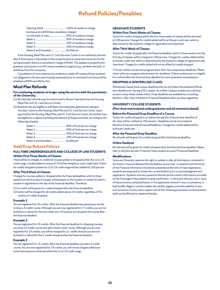## **Refund Policies/Penalties**

<span id="page-20-0"></span>

| (exclusive of a \$450 late cancellation charge) |  |  |  |  |
|-------------------------------------------------|--|--|--|--|
|                                                 |  |  |  |  |
|                                                 |  |  |  |  |
|                                                 |  |  |  |  |
|                                                 |  |  |  |  |
| Week 5 and thereafter No Refund                 |  |  |  |  |

If the Housing, Meal Plan and I.D. Card Services Center is not notified by the last day of final exams in December of the student's plans to leave the University for the spring semester, there is a cancellation charge of \$450. This applies to students who graduate, participate in an off-campus academic program (e.g., semester abroad), or withdraw from the University.

Cancellation of room selection by students to reside off campus (those students not obligated to the two-year housing requirement) or to commute from home will be assessed a \$450 cancellation fee.

## **Meal Plan Refunds**

### **For continuing students no longer using the service with the permission of the University.**

- (1) All meal plan refunds must be authorized for Bursar Operations by the Housing, Meal Plan and I.D. Card Service Center.
- (2) Students who are eligible to withdraw from meal plan agreements must give five days' notice to the Housing, Meal Plan and I.D. Card Service Center. Upon approval by the Housing, Meal Plan, and I.D. Card Service Center, the student may be *eligible for a refund, excluding the amount of SUpercard used,* according to the following schedule:

| Week 5 and thereafter No Refund |  |
|---------------------------------|--|

## **Add/Drop Refund Policies**

### **FULL-TIME UNDERGRADUATE AND COLLEGE OF LAW STUDENTS Within First Three Weeks of Classes**

There will be no charges or credits for courses added or dropped within the 12 to 19 credit range. Credits added in excess of 19 will be charged on a per credit basis. Tuition for credits dropped outside the 12 to 19 credit range will be credited at 100 percent.

### **After Third Week of Classes**

Charges for courses added or dropped after the financial deadline, which is three weeks from the first day of classes, will be based on the number of credits for which a student is registered on the day of the financial deadline. Therefore:

(1) no credit will be given for credits dropped after the financial deadline;

(2) tuition will be charged for all credits added above 19 credits, regardless of the number of credits dropped.

### **Example 1**

You are registered for 20 credits. After the financial deadline has passed you decide to drop a 3-credit course. Although you are now registered for 17 credits, you are not entitled to a refund for the one credit over 19 because you dropped the course after the financial deadline.

### **Example 2**

You are registered for 18 credits. After the financial deadline for dropping courses, you drop a 2-credit course and add a three-credit course. Although you are now registered for 19 credits, you will be charged for 21 credits because you are not entitled to a refund for the 2 credits dropped after the financial deadline.

### **Example 3**

You are registered for 15 credits. After the financial deadline you add a 3-credit course. You are now registered for 18 credits; you will not be charged additional tuition because you remained within the 12 to 19 credit range.

### **GRADUATE STUDENTS**

### **Within First Three Weeks of Classes**

Tuition for credits dropped within the first three weeks of classes will be refunded at 100 percent. Charges for credits added will be at the per credit rate, which is determined by the student's college of registration and class level.

### **After Third Week of Classes**

Tuition for credits dropped after the financial deadline, which is three weeks from the first day of classes, will be charged at 100 percent. Charges for credits added will be at the per credit rate, which is determined by the student's college of registration and class level. Charges for credits added will not be offset by credits dropped.

\*\*Certain online courses and programs have their own unique drop deadlines. Please check with your program administrator for deadlines. Online students are not eligible for a refund after the financial drop deadline for each semester/course/session.

### **DROPPING A WINTERLUDE CLASS:**

Winterlude classes have unique deadlines that do not follow the published official term deadlines for Spring 2021 classes. As a Main Campus student you will have access to drop these classes online. Drop deadlines are available by consulting MySlice > My Class Schedule or Financial Deadlines after you have registered.

### **UNIVERSITY COLLEGE STUDENTS**

**(Part-time matriculated undergraduates and all nonmatriculated)**

### **Before the Financial Drop Deadline of a Course**

Tuition for credits dropped on or before the specific financial drop deadline of the class will be credited at 100 percent. Deadlines can be are located at MySlice>Finances>ViewFinancialDeadlines. Charges for credits added will be at the per credit rate.

## **After the Financial Drop Deadline**

No refunds will be given for credits dropped after the financial deadline.

### **Online Students**

No refunds will be given for credits dropped after the financial drop deadline. Please refer to MySlice.syr.edu>Finances>View student account>Financial Deadlines

### **Modifications**

Syracuse University reserves the right to update or alter all information contained in this Tuition, Fees and Related Policies Bulletin at any time. Consistent with the terms of the Financial Information Disclaimer presented at the time of class registration, students are expected to review the current bulletin prior to acknowledgment and registration. Students with any questions should use the contact information provided on the final page of this bulletin to seek clarification. In the event that any one or more of the provisions contained herein, or the application thereof in any circumstance, is held invalid, illegal or unenforceable, the validity, legality and enforceability of any such provision in every other respect and of the remaining provisions contained herein shall not be affected or impaired thereby.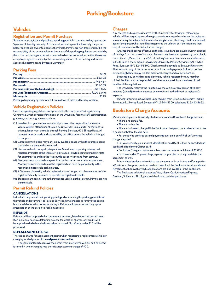## **Parking/Bookstore**

## <span id="page-21-0"></span>**Vehicles**

### **Registration and Permit Purchase**

Students must register and purchase a parking permit for the vehicle they operate on Syracuse University property. A Syracuse University permit allows only the permit holder and vehicle owner to operate the vehicle. Permits are non-transferable. It is the responsibility of the permit holder to be aware of the parking regulations and abide by them. The purchasing of a permit is deemed to be conclusive evidence that the owner accepts and agrees to abide by the rules and regulations of the Parking and Transit Services Department and Syracuse University.

### **Parking Fees**

Please go to parking.syr.edu for a full breakdown of rates and fees by location.

### **Vehicle Registration Policies**

University parking regulations are approved by the University Parking Advisory Committee, which consists of members of the University faculty, staff, administration, graduate, and undergraduate students.

- (1) Resident first year students may NOT possess or be responsible for a motor vehicle while in attendance at Syracuse University. Requests for exceptions to this regulation must be made through Parking Services, 621 Skytop Road. All requests must be made and approved by our office before the vehicle is brought to campus.
- (2) Garage permit holders may park in any available space within the garage except those which are marked as reserved.
- (3) Students who do not qualify to park in a Main Campus parking lot may park registered vehicles at the Manley Field House or Skytop commuter parking lots for a nominal fee and use the free shuttle bus service to and from campus.
- (4) Motorcycles and mopeds are permitted with a permit in certain campus areas. Motorcycles and mopeds must be registered and must be parked only in the recognized motorcycle parking areas.
- (5) A Syracuse University vehicle registration does not permit other members of the registrant's family or friends to operate the registered vehicle.
- (6) Students cannot register another student's vehicle on their permit. Permits are not transferrable.

## **Permit Refund Policies**

### **CANCELLATIONS**

Individuals may cancel their parking privileges by removing the parking permit from the vehicle and returning it to Parking Services. Unwillingness to remove the permit is not a valid reason for not surrendering it. Refunds will be authorized only upon presentation of the permit to Parking Services.

### **REFUNDS**

Refunds will be computed when permits are returned, based upon the posted rates. If an individual has an outstanding balance for violation charges, any credits will be applied to the balance before a refund is issued. No refunds under \$10 will be processed.

### **REPLACEMENT CHARGE**

There is no charge for a replacement permit when registering a replacement vehicle or changing lot designation **if the old permit is turned in.**

If an individual fails to remove the permit from a registered vehicle, or if no permit is turned in when changing lots, there is a replacement charge of \$20.

### **Charges**

Any charges and expenses incurred by the University for towing or relocating a vehicle will be charged against the registrant without regard to whether the registrant was operating the vehicle. In the case of nonregistration, the charge shall be assessed against the person who should have registered the vehicle, or, if there is more than one, all concerned will be liable for the charge.

Charges shall become effective on the day issued and are payable within a period of 14 days from the date of issuance. Payment may be made in person by cash, check, or credit card (MasterCard or VISA) at Parking Services. Payment may also be made in the form of a check mailed to Syracuse University, Parking Services, 621 Skytop Road, Syracuse NY 13244-5300. Checks must be payable to Syracuse University. The violator's copy of the ticket must be included with payment. Failure to resolve outstanding balances may result in additional charges and collection action.

Students may be held responsible for any vehicle registered to any member of their families. It is the responsibility of the students to inform members of their families of the regulations.

The University reserves the right to have the vehicle of any person physically removed (towed) from its campuses or immobilized at the driver's or registrant's expense.

Parking information is available upon request from Syracuse University, Parking Services, 621 Skytop Road, Syracuse NY 13244-5300, telephone 315.443.4652.

## **Bookstore Charge Accounts**

Matriculated Syracuse University students may open a Bookstore Charge account. • There is no annual fee.

- There is no late fee.
- 

• There is no interest charged if the Bookstore Charge account balance that is due is paid on or before the due date.

• For those who prefer to extend payments over time, an APR of 16% interest charge is applied.

• For your security, your student identification card (SU I.D.) will be encoded and used as the Bookstore Charge card.

- Bookstore Charge accounts are subject to a maximum credit limit of \$2,000.
- For those under 21 years of age, a parent or guardian must sign and date the agreement as well.

Matriculated students who wish to see the terms and conditions and/or apply for a Bookstore Charge account can read and download the Bookstore Retail Installment

Agreement at bookweb.syr.edu. Applications are also available in the Bookstore. The Bookstore additionally accepts Visa, MasterCard, American Express, Discover, SUpercard PLUS, personal checks and cash for purchases.